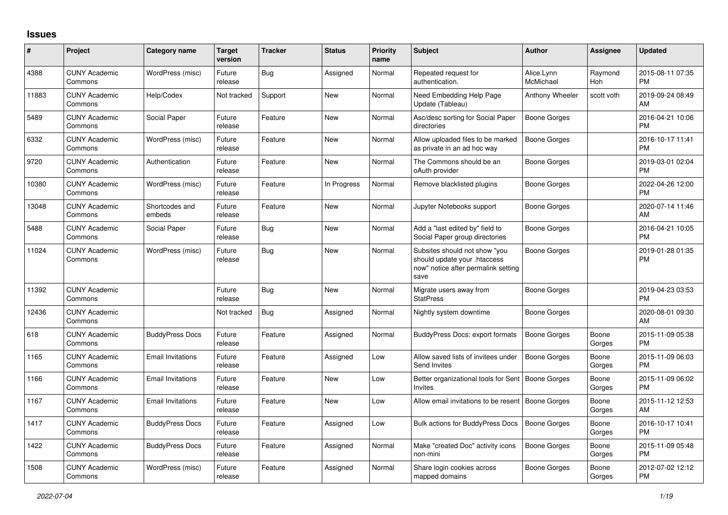## **Issues**

| #     | Project                         | <b>Category name</b>     | <b>Target</b><br>version | <b>Tracker</b> | <b>Status</b> | Priority<br>name | <b>Subject</b>                                                                                               | <b>Author</b>           | <b>Assignee</b> | <b>Updated</b>                |
|-------|---------------------------------|--------------------------|--------------------------|----------------|---------------|------------------|--------------------------------------------------------------------------------------------------------------|-------------------------|-----------------|-------------------------------|
| 4388  | <b>CUNY Academic</b><br>Commons | WordPress (misc)         | Future<br>release        | Bug            | Assigned      | Normal           | Repeated request for<br>authentication.                                                                      | Alice.Lynn<br>McMichael | Raymond<br>Hoh  | 2015-08-11 07:35<br><b>PM</b> |
| 11883 | <b>CUNY Academic</b><br>Commons | Help/Codex               | Not tracked              | Support        | New           | Normal           | Need Embedding Help Page<br>Update (Tableau)                                                                 | Anthony Wheeler         | scott voth      | 2019-09-24 08:49<br>AM        |
| 5489  | <b>CUNY Academic</b><br>Commons | Social Paper             | Future<br>release        | Feature        | <b>New</b>    | Normal           | Asc/desc sorting for Social Paper<br>directories                                                             | Boone Gorges            |                 | 2016-04-21 10:06<br><b>PM</b> |
| 6332  | <b>CUNY Academic</b><br>Commons | WordPress (misc)         | Future<br>release        | Feature        | <b>New</b>    | Normal           | Allow uploaded files to be marked<br>as private in an ad hoc way                                             | Boone Gorges            |                 | 2016-10-17 11:41<br><b>PM</b> |
| 9720  | <b>CUNY Academic</b><br>Commons | Authentication           | Future<br>release        | Feature        | <b>New</b>    | Normal           | The Commons should be an<br>oAuth provider                                                                   | Boone Gorges            |                 | 2019-03-01 02:04<br><b>PM</b> |
| 10380 | <b>CUNY Academic</b><br>Commons | WordPress (misc)         | Future<br>release        | Feature        | In Progress   | Normal           | Remove blacklisted plugins                                                                                   | Boone Gorges            |                 | 2022-04-26 12:00<br><b>PM</b> |
| 13048 | <b>CUNY Academic</b><br>Commons | Shortcodes and<br>embeds | Future<br>release        | Feature        | New           | Normal           | Jupyter Notebooks support                                                                                    | Boone Gorges            |                 | 2020-07-14 11:46<br>AM        |
| 5488  | <b>CUNY Academic</b><br>Commons | Social Paper             | Future<br>release        | Bug            | New           | Normal           | Add a "last edited by" field to<br>Social Paper group directories                                            | Boone Gorges            |                 | 2016-04-21 10:05<br><b>PM</b> |
| 11024 | <b>CUNY Academic</b><br>Commons | WordPress (misc)         | Future<br>release        | Bug            | New           | Normal           | Subsites should not show "you<br>should update your .htaccess<br>now" notice after permalink setting<br>save | Boone Gorges            |                 | 2019-01-28 01:35<br>PM        |
| 11392 | <b>CUNY Academic</b><br>Commons |                          | Future<br>release        | Bug            | <b>New</b>    | Normal           | Migrate users away from<br><b>StatPress</b>                                                                  | Boone Gorges            |                 | 2019-04-23 03:53<br><b>PM</b> |
| 12436 | <b>CUNY Academic</b><br>Commons |                          | Not tracked              | <b>Bug</b>     | Assigned      | Normal           | Nightly system downtime                                                                                      | Boone Gorges            |                 | 2020-08-01 09:30<br><b>AM</b> |
| 618   | <b>CUNY Academic</b><br>Commons | <b>BuddyPress Docs</b>   | Future<br>release        | Feature        | Assigned      | Normal           | <b>BuddyPress Docs: export formats</b>                                                                       | Boone Gorges            | Boone<br>Gorges | 2015-11-09 05:38<br><b>PM</b> |
| 1165  | <b>CUNY Academic</b><br>Commons | <b>Email Invitations</b> | Future<br>release        | Feature        | Assigned      | Low              | Allow saved lists of invitees under<br>Send Invites                                                          | Boone Gorges            | Boone<br>Gorges | 2015-11-09 06:03<br><b>PM</b> |
| 1166  | <b>CUNY Academic</b><br>Commons | <b>Email Invitations</b> | Future<br>release        | Feature        | New           | Low              | Better organizational tools for Sent<br><b>Invites</b>                                                       | Boone Gorges            | Boone<br>Gorges | 2015-11-09 06:02<br><b>PM</b> |
| 1167  | <b>CUNY Academic</b><br>Commons | <b>Email Invitations</b> | Future<br>release        | Feature        | New           | Low              | Allow email invitations to be resent                                                                         | Boone Gorges            | Boone<br>Gorges | 2015-11-12 12:53<br>AM        |
| 1417  | <b>CUNY Academic</b><br>Commons | <b>BuddyPress Docs</b>   | Future<br>release        | Feature        | Assigned      | Low              | <b>Bulk actions for BuddyPress Docs</b>                                                                      | <b>Boone Gorges</b>     | Boone<br>Gorges | 2016-10-17 10:41<br><b>PM</b> |
| 1422  | <b>CUNY Academic</b><br>Commons | <b>BuddyPress Docs</b>   | Future<br>release        | Feature        | Assigned      | Normal           | Make "created Doc" activity icons<br>non-mini                                                                | Boone Gorges            | Boone<br>Gorges | 2015-11-09 05:48<br><b>PM</b> |
| 1508  | <b>CUNY Academic</b><br>Commons | WordPress (misc)         | Future<br>release        | Feature        | Assigned      | Normal           | Share login cookies across<br>mapped domains                                                                 | Boone Gorges            | Boone<br>Gorges | 2012-07-02 12:12<br><b>PM</b> |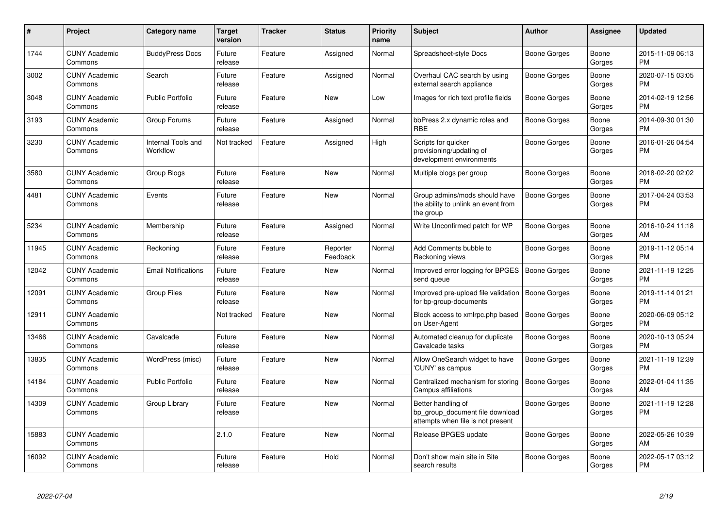| #     | <b>Project</b>                  | Category name                  | <b>Target</b><br>version | <b>Tracker</b> | <b>Status</b>        | <b>Priority</b><br>name | <b>Subject</b>                                                                             | <b>Author</b>       | Assignee        | <b>Updated</b>                |
|-------|---------------------------------|--------------------------------|--------------------------|----------------|----------------------|-------------------------|--------------------------------------------------------------------------------------------|---------------------|-----------------|-------------------------------|
| 1744  | <b>CUNY Academic</b><br>Commons | <b>BuddyPress Docs</b>         | Future<br>release        | Feature        | Assigned             | Normal                  | Spreadsheet-style Docs                                                                     | Boone Gorges        | Boone<br>Gorges | 2015-11-09 06:13<br><b>PM</b> |
| 3002  | <b>CUNY Academic</b><br>Commons | Search                         | Future<br>release        | Feature        | Assigned             | Normal                  | Overhaul CAC search by using<br>external search appliance                                  | Boone Gorges        | Boone<br>Gorges | 2020-07-15 03:05<br><b>PM</b> |
| 3048  | <b>CUNY Academic</b><br>Commons | Public Portfolio               | Future<br>release        | Feature        | <b>New</b>           | Low                     | Images for rich text profile fields                                                        | Boone Gorges        | Boone<br>Gorges | 2014-02-19 12:56<br><b>PM</b> |
| 3193  | <b>CUNY Academic</b><br>Commons | Group Forums                   | Future<br>release        | Feature        | Assigned             | Normal                  | bbPress 2.x dynamic roles and<br><b>RBE</b>                                                | Boone Gorges        | Boone<br>Gorges | 2014-09-30 01:30<br><b>PM</b> |
| 3230  | <b>CUNY Academic</b><br>Commons | Internal Tools and<br>Workflow | Not tracked              | Feature        | Assigned             | High                    | Scripts for quicker<br>provisioning/updating of<br>development environments                | Boone Gorges        | Boone<br>Gorges | 2016-01-26 04:54<br><b>PM</b> |
| 3580  | <b>CUNY Academic</b><br>Commons | Group Blogs                    | Future<br>release        | Feature        | New                  | Normal                  | Multiple blogs per group                                                                   | Boone Gorges        | Boone<br>Gorges | 2018-02-20 02:02<br><b>PM</b> |
| 4481  | <b>CUNY Academic</b><br>Commons | Events                         | Future<br>release        | Feature        | <b>New</b>           | Normal                  | Group admins/mods should have<br>the ability to unlink an event from<br>the group          | Boone Gorges        | Boone<br>Gorges | 2017-04-24 03:53<br><b>PM</b> |
| 5234  | <b>CUNY Academic</b><br>Commons | Membership                     | Future<br>release        | Feature        | Assigned             | Normal                  | Write Unconfirmed patch for WP                                                             | Boone Gorges        | Boone<br>Gorges | 2016-10-24 11:18<br>AM        |
| 11945 | <b>CUNY Academic</b><br>Commons | Reckoning                      | Future<br>release        | Feature        | Reporter<br>Feedback | Normal                  | Add Comments bubble to<br>Reckoning views                                                  | Boone Gorges        | Boone<br>Gorges | 2019-11-12 05:14<br><b>PM</b> |
| 12042 | <b>CUNY Academic</b><br>Commons | <b>Email Notifications</b>     | Future<br>release        | Feature        | New                  | Normal                  | Improved error logging for BPGES<br>send queue                                             | <b>Boone Gorges</b> | Boone<br>Gorges | 2021-11-19 12:25<br><b>PM</b> |
| 12091 | <b>CUNY Academic</b><br>Commons | <b>Group Files</b>             | Future<br>release        | Feature        | New                  | Normal                  | Improved pre-upload file validation   Boone Gorges<br>for bp-group-documents               |                     | Boone<br>Gorges | 2019-11-14 01:21<br><b>PM</b> |
| 12911 | <b>CUNY Academic</b><br>Commons |                                | Not tracked              | Feature        | <b>New</b>           | Normal                  | Block access to xmlrpc.php based<br>on User-Agent                                          | <b>Boone Gorges</b> | Boone<br>Gorges | 2020-06-09 05:12<br><b>PM</b> |
| 13466 | <b>CUNY Academic</b><br>Commons | Cavalcade                      | Future<br>release        | Feature        | <b>New</b>           | Normal                  | Automated cleanup for duplicate<br>Cavalcade tasks                                         | Boone Gorges        | Boone<br>Gorges | 2020-10-13 05:24<br><b>PM</b> |
| 13835 | <b>CUNY Academic</b><br>Commons | WordPress (misc)               | Future<br>release        | Feature        | <b>New</b>           | Normal                  | Allow OneSearch widget to have<br>'CUNY' as campus                                         | Boone Gorges        | Boone<br>Gorges | 2021-11-19 12:39<br><b>PM</b> |
| 14184 | <b>CUNY Academic</b><br>Commons | Public Portfolio               | Future<br>release        | Feature        | New                  | Normal                  | Centralized mechanism for storing<br>Campus affiliations                                   | Boone Gorges        | Boone<br>Gorges | 2022-01-04 11:35<br>AM        |
| 14309 | <b>CUNY Academic</b><br>Commons | Group Library                  | Future<br>release        | Feature        | New                  | Normal                  | Better handling of<br>bp_group_document file download<br>attempts when file is not present | Boone Gorges        | Boone<br>Gorges | 2021-11-19 12:28<br><b>PM</b> |
| 15883 | <b>CUNY Academic</b><br>Commons |                                | 2.1.0                    | Feature        | <b>New</b>           | Normal                  | Release BPGES update                                                                       | Boone Gorges        | Boone<br>Gorges | 2022-05-26 10:39<br>AM        |
| 16092 | <b>CUNY Academic</b><br>Commons |                                | Future<br>release        | Feature        | Hold                 | Normal                  | Don't show main site in Site<br>search results                                             | Boone Gorges        | Boone<br>Gorges | 2022-05-17 03:12<br><b>PM</b> |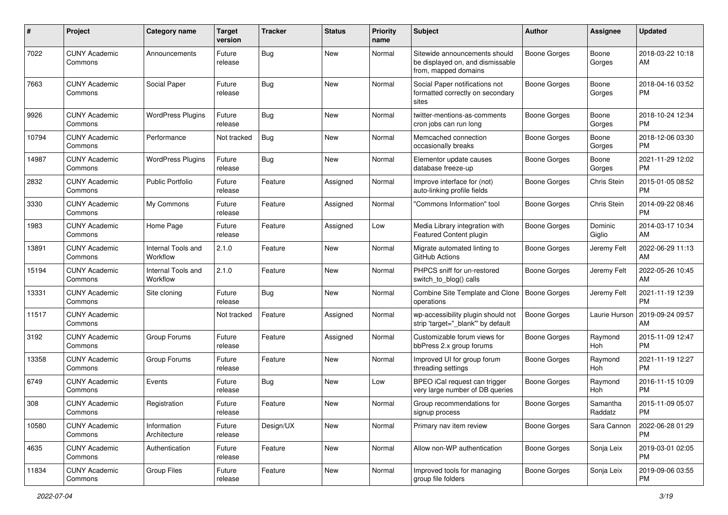| #     | Project                         | <b>Category name</b>           | <b>Target</b><br>version | Tracker    | <b>Status</b> | <b>Priority</b><br>name | <b>Subject</b>                                                                            | Author              | Assignee              | <b>Updated</b>                |
|-------|---------------------------------|--------------------------------|--------------------------|------------|---------------|-------------------------|-------------------------------------------------------------------------------------------|---------------------|-----------------------|-------------------------------|
| 7022  | <b>CUNY Academic</b><br>Commons | Announcements                  | Future<br>release        | <b>Bug</b> | <b>New</b>    | Normal                  | Sitewide announcements should<br>be displayed on, and dismissable<br>from, mapped domains | Boone Gorges        | Boone<br>Gorges       | 2018-03-22 10:18<br>AM        |
| 7663  | <b>CUNY Academic</b><br>Commons | Social Paper                   | Future<br>release        | <b>Bug</b> | <b>New</b>    | Normal                  | Social Paper notifications not<br>formatted correctly on secondary<br>sites               | <b>Boone Gorges</b> | Boone<br>Gorges       | 2018-04-16 03:52<br><b>PM</b> |
| 9926  | <b>CUNY Academic</b><br>Commons | <b>WordPress Plugins</b>       | Future<br>release        | <b>Bug</b> | New           | Normal                  | twitter-mentions-as-comments<br>cron jobs can run long                                    | <b>Boone Gorges</b> | Boone<br>Gorges       | 2018-10-24 12:34<br>PM        |
| 10794 | <b>CUNY Academic</b><br>Commons | Performance                    | Not tracked              | Bug        | New           | Normal                  | Memcached connection<br>occasionally breaks                                               | <b>Boone Gorges</b> | Boone<br>Gorges       | 2018-12-06 03:30<br><b>PM</b> |
| 14987 | <b>CUNY Academic</b><br>Commons | <b>WordPress Plugins</b>       | Future<br>release        | Bug        | <b>New</b>    | Normal                  | Elementor update causes<br>database freeze-up                                             | Boone Gorges        | Boone<br>Gorges       | 2021-11-29 12:02<br><b>PM</b> |
| 2832  | <b>CUNY Academic</b><br>Commons | <b>Public Portfolio</b>        | Future<br>release        | Feature    | Assigned      | Normal                  | Improve interface for (not)<br>auto-linking profile fields                                | <b>Boone Gorges</b> | Chris Stein           | 2015-01-05 08:52<br><b>PM</b> |
| 3330  | <b>CUNY Academic</b><br>Commons | My Commons                     | Future<br>release        | Feature    | Assigned      | Normal                  | "Commons Information" tool                                                                | <b>Boone Gorges</b> | Chris Stein           | 2014-09-22 08:46<br><b>PM</b> |
| 1983  | <b>CUNY Academic</b><br>Commons | Home Page                      | Future<br>release        | Feature    | Assigned      | Low                     | Media Library integration with<br>Featured Content plugin                                 | <b>Boone Gorges</b> | Dominic<br>Giglio     | 2014-03-17 10:34<br>AM        |
| 13891 | <b>CUNY Academic</b><br>Commons | Internal Tools and<br>Workflow | 2.1.0                    | Feature    | <b>New</b>    | Normal                  | Migrate automated linting to<br>GitHub Actions                                            | <b>Boone Gorges</b> | Jeremy Felt           | 2022-06-29 11:13<br>AM        |
| 15194 | <b>CUNY Academic</b><br>Commons | Internal Tools and<br>Workflow | 2.1.0                    | Feature    | <b>New</b>    | Normal                  | PHPCS sniff for un-restored<br>switch_to_blog() calls                                     | <b>Boone Gorges</b> | Jeremy Felt           | 2022-05-26 10:45<br>AM        |
| 13331 | <b>CUNY Academic</b><br>Commons | Site cloning                   | Future<br>release        | Bug        | New           | Normal                  | Combine Site Template and Clone<br>operations                                             | Boone Gorges        | Jeremy Felt           | 2021-11-19 12:39<br><b>PM</b> |
| 11517 | <b>CUNY Academic</b><br>Commons |                                | Not tracked              | Feature    | Assigned      | Normal                  | wp-accessibility plugin should not<br>strip 'target="_blank" by default                   | <b>Boone Gorges</b> | Laurie Hurson         | 2019-09-24 09:57<br>AM        |
| 3192  | <b>CUNY Academic</b><br>Commons | Group Forums                   | Future<br>release        | Feature    | Assigned      | Normal                  | Customizable forum views for<br>bbPress 2.x group forums                                  | <b>Boone Gorges</b> | Raymond<br><b>Hoh</b> | 2015-11-09 12:47<br><b>PM</b> |
| 13358 | <b>CUNY Academic</b><br>Commons | Group Forums                   | Future<br>release        | Feature    | <b>New</b>    | Normal                  | Improved UI for group forum<br>threading settings                                         | <b>Boone Gorges</b> | Raymond<br>Hoh        | 2021-11-19 12:27<br><b>PM</b> |
| 6749  | <b>CUNY Academic</b><br>Commons | Events                         | Future<br>release        | <b>Bug</b> | New           | Low                     | BPEO iCal request can trigger<br>very large number of DB queries                          | <b>Boone Gorges</b> | Raymond<br>Hoh        | 2016-11-15 10:09<br><b>PM</b> |
| 308   | <b>CUNY Academic</b><br>Commons | Registration                   | Future<br>release        | Feature    | New           | Normal                  | Group recommendations for<br>signup process                                               | <b>Boone Gorges</b> | Samantha<br>Raddatz   | 2015-11-09 05:07<br>PM        |
| 10580 | <b>CUNY Academic</b><br>Commons | Information<br>Architecture    | Future<br>release        | Design/UX  | New           | Normal                  | Primary nav item review                                                                   | Boone Gorges        | Sara Cannon           | 2022-06-28 01:29<br><b>PM</b> |
| 4635  | <b>CUNY Academic</b><br>Commons | Authentication                 | Future<br>release        | Feature    | New           | Normal                  | Allow non-WP authentication                                                               | <b>Boone Gorges</b> | Sonja Leix            | 2019-03-01 02:05<br><b>PM</b> |
| 11834 | <b>CUNY Academic</b><br>Commons | Group Files                    | Future<br>release        | Feature    | New           | Normal                  | Improved tools for managing<br>group file folders                                         | Boone Gorges        | Sonja Leix            | 2019-09-06 03:55<br><b>PM</b> |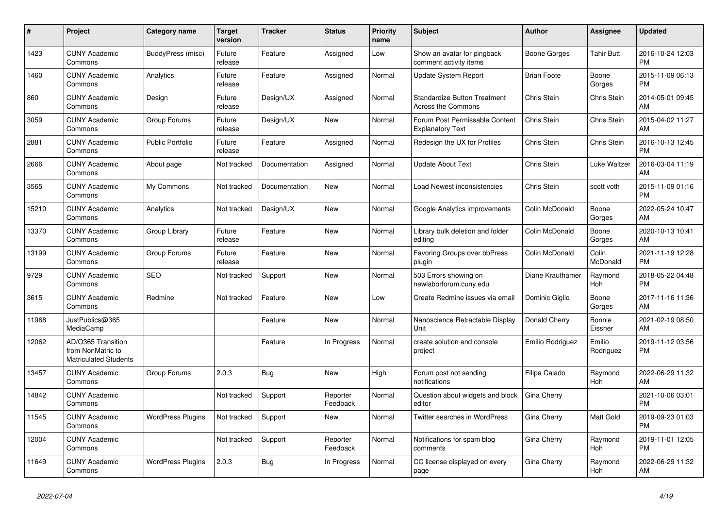| #     | Project                                                          | <b>Category name</b>     | <b>Target</b><br>version | <b>Tracker</b> | <b>Status</b>        | <b>Priority</b><br>name | <b>Subject</b>                                                   | <b>Author</b>      | Assignee            | <b>Updated</b>                |
|-------|------------------------------------------------------------------|--------------------------|--------------------------|----------------|----------------------|-------------------------|------------------------------------------------------------------|--------------------|---------------------|-------------------------------|
| 1423  | <b>CUNY Academic</b><br>Commons                                  | <b>BuddyPress</b> (misc) | Future<br>release        | Feature        | Assigned             | Low                     | Show an avatar for pingback<br>comment activity items            | Boone Gorges       | <b>Tahir Butt</b>   | 2016-10-24 12:03<br><b>PM</b> |
| 1460  | <b>CUNY Academic</b><br>Commons                                  | Analytics                | Future<br>release        | Feature        | Assigned             | Normal                  | <b>Update System Report</b>                                      | <b>Brian Foote</b> | Boone<br>Gorges     | 2015-11-09 06:13<br><b>PM</b> |
| 860   | <b>CUNY Academic</b><br>Commons                                  | Design                   | Future<br>release        | Design/UX      | Assigned             | Normal                  | <b>Standardize Button Treatment</b><br><b>Across the Commons</b> | Chris Stein        | Chris Stein         | 2014-05-01 09:45<br>AM        |
| 3059  | <b>CUNY Academic</b><br>Commons                                  | Group Forums             | Future<br>release        | Design/UX      | <b>New</b>           | Normal                  | Forum Post Permissable Content<br><b>Explanatory Text</b>        | Chris Stein        | Chris Stein         | 2015-04-02 11:27<br>AM        |
| 2881  | <b>CUNY Academic</b><br>Commons                                  | <b>Public Portfolio</b>  | Future<br>release        | Feature        | Assigned             | Normal                  | Redesign the UX for Profiles                                     | Chris Stein        | Chris Stein         | 2016-10-13 12:45<br><b>PM</b> |
| 2666  | <b>CUNY Academic</b><br>Commons                                  | About page               | Not tracked              | Documentation  | Assigned             | Normal                  | <b>Update About Text</b>                                         | Chris Stein        | Luke Waltzer        | 2016-03-04 11:19<br>AM        |
| 3565  | <b>CUNY Academic</b><br>Commons                                  | My Commons               | Not tracked              | Documentation  | <b>New</b>           | Normal                  | Load Newest inconsistencies                                      | Chris Stein        | scott voth          | 2015-11-09 01:16<br><b>PM</b> |
| 15210 | <b>CUNY Academic</b><br>Commons                                  | Analytics                | Not tracked              | Design/UX      | <b>New</b>           | Normal                  | Google Analytics improvements                                    | Colin McDonald     | Boone<br>Gorges     | 2022-05-24 10:47<br>AM        |
| 13370 | <b>CUNY Academic</b><br>Commons                                  | Group Library            | Future<br>release        | Feature        | <b>New</b>           | Normal                  | Library bulk deletion and folder<br>editing                      | Colin McDonald     | Boone<br>Gorges     | 2020-10-13 10:41<br>AM        |
| 13199 | <b>CUNY Academic</b><br>Commons                                  | Group Forums             | Future<br>release        | Feature        | New                  | Normal                  | Favoring Groups over bbPress<br>plugin                           | Colin McDonald     | Colin<br>McDonald   | 2021-11-19 12:28<br><b>PM</b> |
| 9729  | <b>CUNY Academic</b><br>Commons                                  | <b>SEO</b>               | Not tracked              | Support        | <b>New</b>           | Normal                  | 503 Errors showing on<br>newlaborforum.cuny.edu                  | Diane Krauthamer   | Raymond<br>Hoh      | 2018-05-22 04:48<br><b>PM</b> |
| 3615  | <b>CUNY Academic</b><br>Commons                                  | Redmine                  | Not tracked              | Feature        | New                  | Low                     | Create Redmine issues via email                                  | Dominic Giglio     | Boone<br>Gorges     | 2017-11-16 11:36<br>AM        |
| 11968 | JustPublics@365<br>MediaCamp                                     |                          |                          | Feature        | New                  | Normal                  | Nanoscience Retractable Display<br>Unit                          | Donald Cherry      | Bonnie<br>Eissner   | 2021-02-19 08:50<br>AM        |
| 12062 | AD/O365 Transition<br>from NonMatric to<br>Matriculated Students |                          |                          | Feature        | In Progress          | Normal                  | create solution and console<br>project                           | Emilio Rodriguez   | Emilio<br>Rodriguez | 2019-11-12 03:56<br><b>PM</b> |
| 13457 | <b>CUNY Academic</b><br>Commons                                  | Group Forums             | 2.0.3                    | <b>Bug</b>     | <b>New</b>           | High                    | Forum post not sending<br>notifications                          | Filipa Calado      | Raymond<br>Hoh      | 2022-06-29 11:32<br>AM        |
| 14842 | <b>CUNY Academic</b><br>Commons                                  |                          | Not tracked              | Support        | Reporter<br>Feedback | Normal                  | Question about widgets and block<br>editor                       | Gina Cherry        |                     | 2021-10-06 03:01<br><b>PM</b> |
| 11545 | <b>CUNY Academic</b><br>Commons                                  | <b>WordPress Plugins</b> | Not tracked              | Support        | <b>New</b>           | Normal                  | Twitter searches in WordPress                                    | Gina Cherry        | Matt Gold           | 2019-09-23 01:03<br><b>PM</b> |
| 12004 | <b>CUNY Academic</b><br>Commons                                  |                          | Not tracked              | Support        | Reporter<br>Feedback | Normal                  | Notifications for spam blog<br>comments                          | Gina Cherry        | Raymond<br>Hoh      | 2019-11-01 12:05<br><b>PM</b> |
| 11649 | <b>CUNY Academic</b><br>Commons                                  | <b>WordPress Plugins</b> | 2.0.3                    | Bug            | In Progress          | Normal                  | CC license displayed on every<br>page                            | Gina Cherry        | Raymond<br>Hoh      | 2022-06-29 11:32<br>AM        |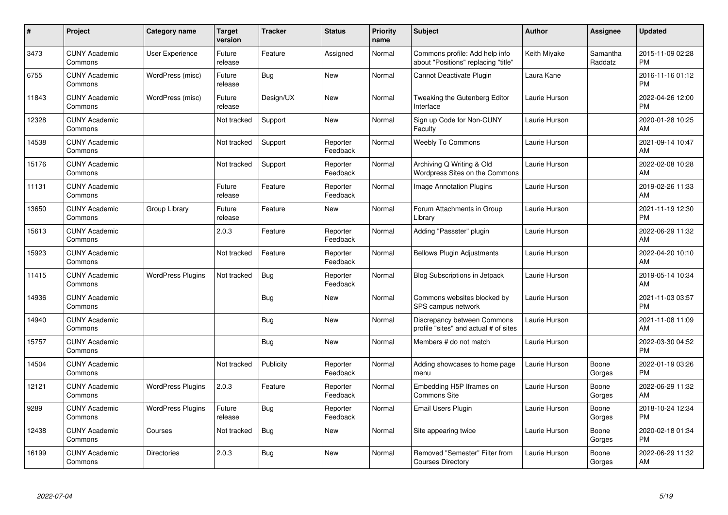| #     | <b>Project</b>                  | <b>Category name</b>     | <b>Target</b><br>version | <b>Tracker</b> | <b>Status</b>        | <b>Priority</b><br>name | <b>Subject</b>                                                        | <b>Author</b> | Assignee            | <b>Updated</b>                |
|-------|---------------------------------|--------------------------|--------------------------|----------------|----------------------|-------------------------|-----------------------------------------------------------------------|---------------|---------------------|-------------------------------|
| 3473  | <b>CUNY Academic</b><br>Commons | User Experience          | Future<br>release        | Feature        | Assigned             | Normal                  | Commons profile: Add help info<br>about "Positions" replacing "title" | Keith Miyake  | Samantha<br>Raddatz | 2015-11-09 02:28<br><b>PM</b> |
| 6755  | <b>CUNY Academic</b><br>Commons | WordPress (misc)         | Future<br>release        | Bug            | New                  | Normal                  | Cannot Deactivate Plugin                                              | Laura Kane    |                     | 2016-11-16 01:12<br><b>PM</b> |
| 11843 | <b>CUNY Academic</b><br>Commons | WordPress (misc)         | Future<br>release        | Design/UX      | New                  | Normal                  | Tweaking the Gutenberg Editor<br>Interface                            | Laurie Hurson |                     | 2022-04-26 12:00<br><b>PM</b> |
| 12328 | <b>CUNY Academic</b><br>Commons |                          | Not tracked              | Support        | <b>New</b>           | Normal                  | Sign up Code for Non-CUNY<br>Faculty                                  | Laurie Hurson |                     | 2020-01-28 10:25<br>AM        |
| 14538 | <b>CUNY Academic</b><br>Commons |                          | Not tracked              | Support        | Reporter<br>Feedback | Normal                  | <b>Weebly To Commons</b>                                              | Laurie Hurson |                     | 2021-09-14 10:47<br><b>AM</b> |
| 15176 | <b>CUNY Academic</b><br>Commons |                          | Not tracked              | Support        | Reporter<br>Feedback | Normal                  | Archiving Q Writing & Old<br>Wordpress Sites on the Commons           | Laurie Hurson |                     | 2022-02-08 10:28<br><b>AM</b> |
| 11131 | <b>CUNY Academic</b><br>Commons |                          | Future<br>release        | Feature        | Reporter<br>Feedback | Normal                  | <b>Image Annotation Plugins</b>                                       | Laurie Hurson |                     | 2019-02-26 11:33<br>AM        |
| 13650 | <b>CUNY Academic</b><br>Commons | Group Library            | Future<br>release        | Feature        | <b>New</b>           | Normal                  | Forum Attachments in Group<br>Librarv                                 | Laurie Hurson |                     | 2021-11-19 12:30<br><b>PM</b> |
| 15613 | <b>CUNY Academic</b><br>Commons |                          | 2.0.3                    | Feature        | Reporter<br>Feedback | Normal                  | Adding "Passster" plugin                                              | Laurie Hurson |                     | 2022-06-29 11:32<br>AM        |
| 15923 | <b>CUNY Academic</b><br>Commons |                          | Not tracked              | Feature        | Reporter<br>Feedback | Normal                  | <b>Bellows Plugin Adjustments</b>                                     | Laurie Hurson |                     | 2022-04-20 10:10<br>AM        |
| 11415 | <b>CUNY Academic</b><br>Commons | <b>WordPress Plugins</b> | Not tracked              | Bug            | Reporter<br>Feedback | Normal                  | <b>Blog Subscriptions in Jetpack</b>                                  | Laurie Hurson |                     | 2019-05-14 10:34<br>AM        |
| 14936 | <b>CUNY Academic</b><br>Commons |                          |                          | <b>Bug</b>     | <b>New</b>           | Normal                  | Commons websites blocked by<br>SPS campus network                     | Laurie Hurson |                     | 2021-11-03 03:57<br><b>PM</b> |
| 14940 | <b>CUNY Academic</b><br>Commons |                          |                          | <b>Bug</b>     | <b>New</b>           | Normal                  | Discrepancy between Commons<br>profile "sites" and actual # of sites  | Laurie Hurson |                     | 2021-11-08 11:09<br>AM        |
| 15757 | <b>CUNY Academic</b><br>Commons |                          |                          | Bug            | <b>New</b>           | Normal                  | Members # do not match                                                | Laurie Hurson |                     | 2022-03-30 04:52<br><b>PM</b> |
| 14504 | <b>CUNY Academic</b><br>Commons |                          | Not tracked              | Publicity      | Reporter<br>Feedback | Normal                  | Adding showcases to home page<br>menu                                 | Laurie Hurson | Boone<br>Gorges     | 2022-01-19 03:26<br><b>PM</b> |
| 12121 | <b>CUNY Academic</b><br>Commons | <b>WordPress Plugins</b> | 2.0.3                    | Feature        | Reporter<br>Feedback | Normal                  | Embedding H5P Iframes on<br><b>Commons Site</b>                       | Laurie Hurson | Boone<br>Gorges     | 2022-06-29 11:32<br>AM        |
| 9289  | <b>CUNY Academic</b><br>Commons | <b>WordPress Plugins</b> | Future<br>release        | Bug            | Reporter<br>Feedback | Normal                  | Email Users Plugin                                                    | Laurie Hurson | Boone<br>Gorges     | 2018-10-24 12:34<br><b>PM</b> |
| 12438 | <b>CUNY Academic</b><br>Commons | Courses                  | Not tracked              | Bug            | New                  | Normal                  | Site appearing twice                                                  | Laurie Hurson | Boone<br>Gorges     | 2020-02-18 01:34<br>PM.       |
| 16199 | <b>CUNY Academic</b><br>Commons | <b>Directories</b>       | 2.0.3                    | <b>Bug</b>     | <b>New</b>           | Normal                  | Removed "Semester" Filter from<br><b>Courses Directory</b>            | Laurie Hurson | Boone<br>Gorges     | 2022-06-29 11:32<br>AM        |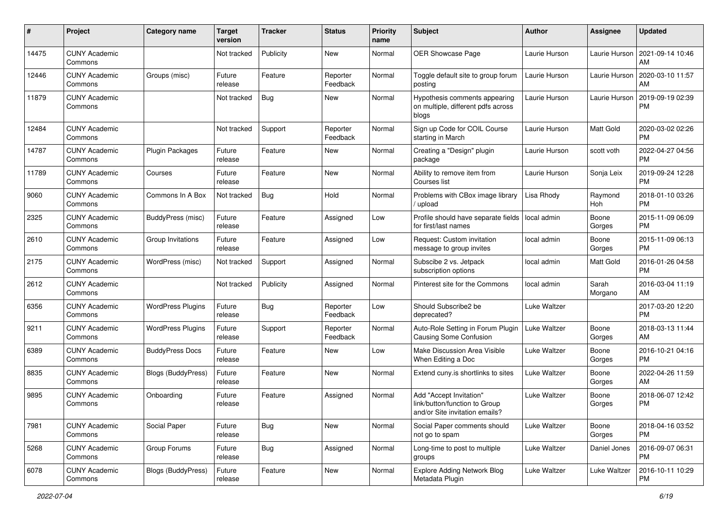| #     | Project                         | <b>Category name</b>     | <b>Target</b><br>version | <b>Tracker</b> | <b>Status</b>        | Priority<br>name | <b>Subject</b>                                                                             | <b>Author</b> | <b>Assignee</b>  | <b>Updated</b>                |
|-------|---------------------------------|--------------------------|--------------------------|----------------|----------------------|------------------|--------------------------------------------------------------------------------------------|---------------|------------------|-------------------------------|
| 14475 | <b>CUNY Academic</b><br>Commons |                          | Not tracked              | Publicity      | New                  | Normal           | OER Showcase Page                                                                          | Laurie Hurson | Laurie Hurson    | 2021-09-14 10:46<br>AM.       |
| 12446 | <b>CUNY Academic</b><br>Commons | Groups (misc)            | Future<br>release        | Feature        | Reporter<br>Feedback | Normal           | Toggle default site to group forum<br>posting                                              | Laurie Hurson | Laurie Hurson    | 2020-03-10 11:57<br>AM.       |
| 11879 | <b>CUNY Academic</b><br>Commons |                          | Not tracked              | Bug            | New                  | Normal           | Hypothesis comments appearing<br>on multiple, different pdfs across<br>blogs               | Laurie Hurson | Laurie Hurson    | 2019-09-19 02:39<br><b>PM</b> |
| 12484 | <b>CUNY Academic</b><br>Commons |                          | Not tracked              | Support        | Reporter<br>Feedback | Normal           | Sign up Code for COIL Course<br>starting in March                                          | Laurie Hurson | Matt Gold        | 2020-03-02 02:26<br>PM.       |
| 14787 | <b>CUNY Academic</b><br>Commons | Plugin Packages          | Future<br>release        | Feature        | New                  | Normal           | Creating a "Design" plugin<br>package                                                      | Laurie Hurson | scott voth       | 2022-04-27 04:56<br><b>PM</b> |
| 11789 | <b>CUNY Academic</b><br>Commons | Courses                  | Future<br>release        | Feature        | New                  | Normal           | Ability to remove item from<br>Courses list                                                | Laurie Hurson | Sonja Leix       | 2019-09-24 12:28<br><b>PM</b> |
| 9060  | <b>CUNY Academic</b><br>Commons | Commons In A Box         | Not tracked              | Bug            | Hold                 | Normal           | Problems with CBox image library<br>/ upload                                               | Lisa Rhody    | Raymond<br>Hoh   | 2018-01-10 03:26<br><b>PM</b> |
| 2325  | <b>CUNY Academic</b><br>Commons | BuddyPress (misc)        | Future<br>release        | Feature        | Assigned             | Low              | Profile should have separate fields<br>for first/last names                                | local admin   | Boone<br>Gorges  | 2015-11-09 06:09<br><b>PM</b> |
| 2610  | <b>CUNY Academic</b><br>Commons | Group Invitations        | Future<br>release        | Feature        | Assigned             | Low              | Request: Custom invitation<br>message to group invites                                     | local admin   | Boone<br>Gorges  | 2015-11-09 06:13<br>PM.       |
| 2175  | <b>CUNY Academic</b><br>Commons | WordPress (misc)         | Not tracked              | Support        | Assigned             | Normal           | Subscibe 2 vs. Jetpack<br>subscription options                                             | local admin   | Matt Gold        | 2016-01-26 04:58<br><b>PM</b> |
| 2612  | <b>CUNY Academic</b><br>Commons |                          | Not tracked              | Publicity      | Assigned             | Normal           | Pinterest site for the Commons                                                             | local admin   | Sarah<br>Morgano | 2016-03-04 11:19<br>AM        |
| 6356  | <b>CUNY Academic</b><br>Commons | <b>WordPress Plugins</b> | Future<br>release        | Bug            | Reporter<br>Feedback | Low              | Should Subscribe2 be<br>deprecated?                                                        | Luke Waltzer  |                  | 2017-03-20 12:20<br><b>PM</b> |
| 9211  | <b>CUNY Academic</b><br>Commons | <b>WordPress Plugins</b> | Future<br>release        | Support        | Reporter<br>Feedback | Normal           | Auto-Role Setting in Forum Plugin<br>Causing Some Confusion                                | Luke Waltzer  | Boone<br>Gorges  | 2018-03-13 11:44<br>AM        |
| 6389  | <b>CUNY Academic</b><br>Commons | <b>BuddyPress Docs</b>   | Future<br>release        | Feature        | New                  | Low              | Make Discussion Area Visible<br>When Editing a Doc                                         | Luke Waltzer  | Boone<br>Gorges  | 2016-10-21 04:16<br><b>PM</b> |
| 8835  | <b>CUNY Academic</b><br>Commons | Blogs (BuddyPress)       | Future<br>release        | Feature        | New                  | Normal           | Extend cuny.is shortlinks to sites                                                         | Luke Waltzer  | Boone<br>Gorges  | 2022-04-26 11:59<br>AM.       |
| 9895  | <b>CUNY Academic</b><br>Commons | Onboarding               | Future<br>release        | Feature        | Assigned             | Normal           | Add "Accept Invitation"<br>link/button/function to Group<br>and/or Site invitation emails? | Luke Waltzer  | Boone<br>Gorges  | 2018-06-07 12:42<br><b>PM</b> |
| 7981  | <b>CUNY Academic</b><br>Commons | Social Paper             | Future<br>release        | Bug            | New                  | Normal           | Social Paper comments should<br>not go to spam                                             | Luke Waltzer  | Boone<br>Gorges  | 2018-04-16 03:52<br>PM.       |
| 5268  | <b>CUNY Academic</b><br>Commons | Group Forums             | Future<br>release        | <b>Bug</b>     | Assigned             | Normal           | Long-time to post to multiple<br>groups                                                    | Luke Waltzer  | Daniel Jones     | 2016-09-07 06:31<br><b>PM</b> |
| 6078  | <b>CUNY Academic</b><br>Commons | Blogs (BuddyPress)       | Future<br>release        | Feature        | New                  | Normal           | <b>Explore Adding Network Blog</b><br>Metadata Plugin                                      | Luke Waltzer  | Luke Waltzer     | 2016-10-11 10:29<br><b>PM</b> |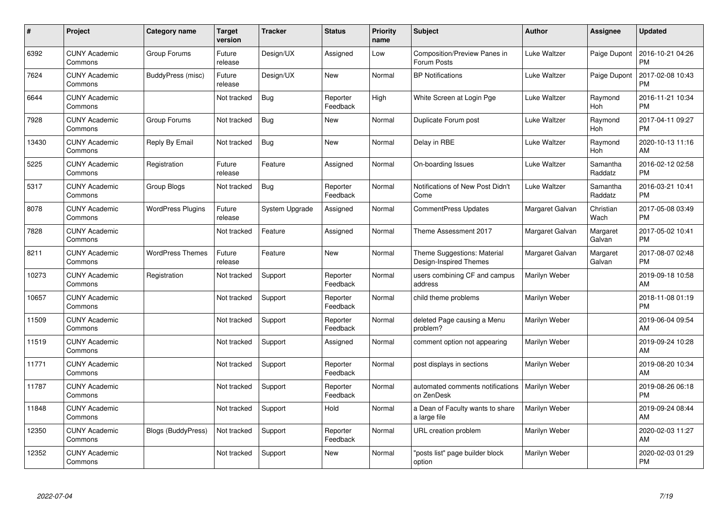| #     | Project                         | Category name             | <b>Target</b><br>version | <b>Tracker</b> | <b>Status</b>        | <b>Priority</b><br>name | <b>Subject</b>                                        | <b>Author</b>        | <b>Assignee</b>     | <b>Updated</b>                |
|-------|---------------------------------|---------------------------|--------------------------|----------------|----------------------|-------------------------|-------------------------------------------------------|----------------------|---------------------|-------------------------------|
| 6392  | <b>CUNY Academic</b><br>Commons | Group Forums              | Future<br>release        | Design/UX      | Assigned             | Low                     | <b>Composition/Preview Panes in</b><br>Forum Posts    | Luke Waltzer         | Paige Dupont        | 2016-10-21 04:26<br><b>PM</b> |
| 7624  | <b>CUNY Academic</b><br>Commons | BuddyPress (misc)         | Future<br>release        | Design/UX      | New                  | Normal                  | <b>BP Notifications</b>                               | Luke Waltzer         | Paige Dupont        | 2017-02-08 10:43<br><b>PM</b> |
| 6644  | <b>CUNY Academic</b><br>Commons |                           | Not tracked              | <b>Bug</b>     | Reporter<br>Feedback | High                    | White Screen at Login Pge                             | Luke Waltzer         | Raymond<br>Hoh      | 2016-11-21 10:34<br><b>PM</b> |
| 7928  | <b>CUNY Academic</b><br>Commons | Group Forums              | Not tracked              | <b>Bug</b>     | <b>New</b>           | Normal                  | Duplicate Forum post                                  | Luke Waltzer         | Raymond<br>Hoh      | 2017-04-11 09:27<br><b>PM</b> |
| 13430 | <b>CUNY Academic</b><br>Commons | Reply By Email            | Not tracked              | Bug            | <b>New</b>           | Normal                  | Delay in RBE                                          | Luke Waltzer         | Raymond<br>Hoh      | 2020-10-13 11:16<br>AM        |
| 5225  | <b>CUNY Academic</b><br>Commons | Registration              | Future<br>release        | Feature        | Assigned             | Normal                  | On-boarding Issues                                    | Luke Waltzer         | Samantha<br>Raddatz | 2016-02-12 02:58<br><b>PM</b> |
| 5317  | <b>CUNY Academic</b><br>Commons | Group Blogs               | Not tracked              | Bug            | Reporter<br>Feedback | Normal                  | Notifications of New Post Didn't<br>Come              | Luke Waltzer         | Samantha<br>Raddatz | 2016-03-21 10:41<br><b>PM</b> |
| 8078  | <b>CUNY Academic</b><br>Commons | <b>WordPress Plugins</b>  | Future<br>release        | System Upgrade | Assigned             | Normal                  | <b>CommentPress Updates</b>                           | Margaret Galvan      | Christian<br>Wach   | 2017-05-08 03:49<br><b>PM</b> |
| 7828  | <b>CUNY Academic</b><br>Commons |                           | Not tracked              | Feature        | Assigned             | Normal                  | Theme Assessment 2017                                 | Margaret Galvan      | Margaret<br>Galvan  | 2017-05-02 10:41<br><b>PM</b> |
| 8211  | <b>CUNY Academic</b><br>Commons | <b>WordPress Themes</b>   | Future<br>release        | Feature        | <b>New</b>           | Normal                  | Theme Suggestions: Material<br>Design-Inspired Themes | Margaret Galvan      | Margaret<br>Galvan  | 2017-08-07 02:48<br>PM        |
| 10273 | <b>CUNY Academic</b><br>Commons | Registration              | Not tracked              | Support        | Reporter<br>Feedback | Normal                  | users combining CF and campus<br>address              | Marilyn Weber        |                     | 2019-09-18 10:58<br>AM        |
| 10657 | <b>CUNY Academic</b><br>Commons |                           | Not tracked              | Support        | Reporter<br>Feedback | Normal                  | child theme problems                                  | Marilyn Weber        |                     | 2018-11-08 01:19<br><b>PM</b> |
| 11509 | <b>CUNY Academic</b><br>Commons |                           | Not tracked              | Support        | Reporter<br>Feedback | Normal                  | deleted Page causing a Menu<br>problem?               | Marilyn Weber        |                     | 2019-06-04 09:54<br>AM        |
| 11519 | <b>CUNY Academic</b><br>Commons |                           | Not tracked              | Support        | Assigned             | Normal                  | comment option not appearing                          | Marilyn Weber        |                     | 2019-09-24 10:28<br>AM        |
| 11771 | <b>CUNY Academic</b><br>Commons |                           | Not tracked              | Support        | Reporter<br>Feedback | Normal                  | post displays in sections                             | Marilyn Weber        |                     | 2019-08-20 10:34<br><b>AM</b> |
| 11787 | <b>CUNY Academic</b><br>Commons |                           | Not tracked              | Support        | Reporter<br>Feedback | Normal                  | automated comments notifications<br>on ZenDesk        | <b>Marilyn Weber</b> |                     | 2019-08-26 06:18<br><b>PM</b> |
| 11848 | <b>CUNY Academic</b><br>Commons |                           | Not tracked              | Support        | Hold                 | Normal                  | a Dean of Faculty wants to share<br>a large file      | Marilyn Weber        |                     | 2019-09-24 08:44<br><b>AM</b> |
| 12350 | <b>CUNY Academic</b><br>Commons | <b>Blogs (BuddyPress)</b> | Not tracked              | Support        | Reporter<br>Feedback | Normal                  | URL creation problem                                  | Marilyn Weber        |                     | 2020-02-03 11:27<br>AM        |
| 12352 | <b>CUNY Academic</b><br>Commons |                           | Not tracked              | Support        | <b>New</b>           | Normal                  | "posts list" page builder block<br>option             | Marilyn Weber        |                     | 2020-02-03 01:29<br>PM        |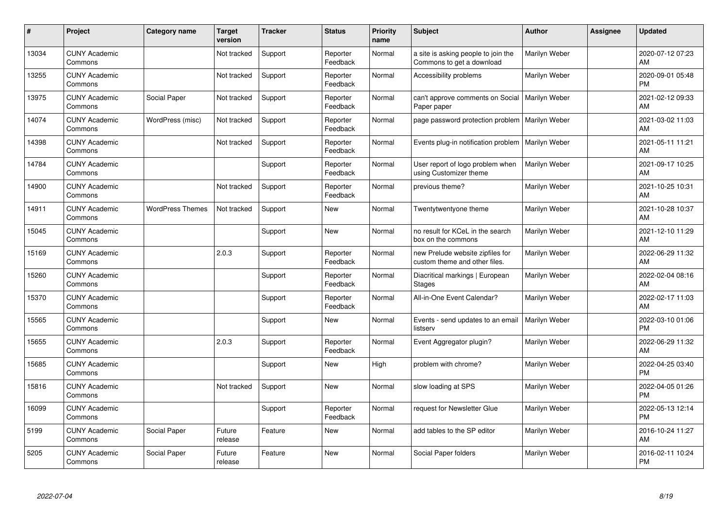| #     | Project                         | <b>Category name</b>    | <b>Target</b><br>version | <b>Tracker</b> | <b>Status</b>        | <b>Priority</b><br>name | <b>Subject</b>                                                    | <b>Author</b> | Assignee | <b>Updated</b>                |
|-------|---------------------------------|-------------------------|--------------------------|----------------|----------------------|-------------------------|-------------------------------------------------------------------|---------------|----------|-------------------------------|
| 13034 | <b>CUNY Academic</b><br>Commons |                         | Not tracked              | Support        | Reporter<br>Feedback | Normal                  | a site is asking people to join the<br>Commons to get a download  | Marilyn Weber |          | 2020-07-12 07:23<br>AM        |
| 13255 | <b>CUNY Academic</b><br>Commons |                         | Not tracked              | Support        | Reporter<br>Feedback | Normal                  | Accessibility problems                                            | Marilyn Weber |          | 2020-09-01 05:48<br><b>PM</b> |
| 13975 | <b>CUNY Academic</b><br>Commons | Social Paper            | Not tracked              | Support        | Reporter<br>Feedback | Normal                  | can't approve comments on Social<br>Paper paper                   | Marilyn Weber |          | 2021-02-12 09:33<br>AM        |
| 14074 | <b>CUNY Academic</b><br>Commons | WordPress (misc)        | Not tracked              | Support        | Reporter<br>Feedback | Normal                  | page password protection problem                                  | Marilyn Weber |          | 2021-03-02 11:03<br>AM        |
| 14398 | <b>CUNY Academic</b><br>Commons |                         | Not tracked              | Support        | Reporter<br>Feedback | Normal                  | Events plug-in notification problem                               | Marilyn Weber |          | 2021-05-11 11:21<br>AM        |
| 14784 | <b>CUNY Academic</b><br>Commons |                         |                          | Support        | Reporter<br>Feedback | Normal                  | User report of logo problem when<br>using Customizer theme        | Marilyn Weber |          | 2021-09-17 10:25<br>AM        |
| 14900 | <b>CUNY Academic</b><br>Commons |                         | Not tracked              | Support        | Reporter<br>Feedback | Normal                  | previous theme?                                                   | Marilyn Weber |          | 2021-10-25 10:31<br>AM        |
| 14911 | <b>CUNY Academic</b><br>Commons | <b>WordPress Themes</b> | Not tracked              | Support        | <b>New</b>           | Normal                  | Twentytwentyone theme                                             | Marilyn Weber |          | 2021-10-28 10:37<br>AM        |
| 15045 | <b>CUNY Academic</b><br>Commons |                         |                          | Support        | New                  | Normal                  | no result for KCeL in the search<br>box on the commons            | Marilyn Weber |          | 2021-12-10 11:29<br>AM        |
| 15169 | <b>CUNY Academic</b><br>Commons |                         | 2.0.3                    | Support        | Reporter<br>Feedback | Normal                  | new Prelude website zipfiles for<br>custom theme and other files. | Marilyn Weber |          | 2022-06-29 11:32<br>AM        |
| 15260 | <b>CUNY Academic</b><br>Commons |                         |                          | Support        | Reporter<br>Feedback | Normal                  | Diacritical markings   European<br><b>Stages</b>                  | Marilyn Weber |          | 2022-02-04 08:16<br>AM        |
| 15370 | <b>CUNY Academic</b><br>Commons |                         |                          | Support        | Reporter<br>Feedback | Normal                  | All-in-One Event Calendar?                                        | Marilyn Weber |          | 2022-02-17 11:03<br>AM        |
| 15565 | <b>CUNY Academic</b><br>Commons |                         |                          | Support        | New                  | Normal                  | Events - send updates to an email<br>listserv                     | Marilyn Weber |          | 2022-03-10 01:06<br><b>PM</b> |
| 15655 | <b>CUNY Academic</b><br>Commons |                         | 2.0.3                    | Support        | Reporter<br>Feedback | Normal                  | Event Aggregator plugin?                                          | Marilyn Weber |          | 2022-06-29 11:32<br>AM        |
| 15685 | <b>CUNY Academic</b><br>Commons |                         |                          | Support        | New                  | High                    | problem with chrome?                                              | Marilyn Weber |          | 2022-04-25 03:40<br><b>PM</b> |
| 15816 | <b>CUNY Academic</b><br>Commons |                         | Not tracked              | Support        | <b>New</b>           | Normal                  | slow loading at SPS                                               | Marilyn Weber |          | 2022-04-05 01:26<br><b>PM</b> |
| 16099 | <b>CUNY Academic</b><br>Commons |                         |                          | Support        | Reporter<br>Feedback | Normal                  | request for Newsletter Glue                                       | Marilyn Weber |          | 2022-05-13 12:14<br><b>PM</b> |
| 5199  | <b>CUNY Academic</b><br>Commons | Social Paper            | Future<br>release        | Feature        | New                  | Normal                  | add tables to the SP editor                                       | Marilyn Weber |          | 2016-10-24 11:27<br>AM        |
| 5205  | <b>CUNY Academic</b><br>Commons | Social Paper            | Future<br>release        | Feature        | <b>New</b>           | Normal                  | Social Paper folders                                              | Marilyn Weber |          | 2016-02-11 10:24<br>PM        |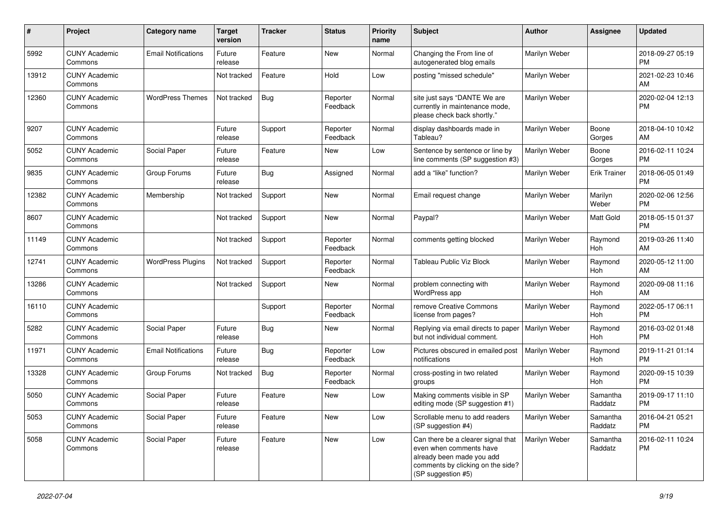| #     | Project                         | <b>Category name</b>       | <b>Target</b><br>version | <b>Tracker</b> | <b>Status</b>        | <b>Priority</b><br>name | <b>Subject</b>                                                                                                                                        | <b>Author</b> | <b>Assignee</b>     | <b>Updated</b>                |
|-------|---------------------------------|----------------------------|--------------------------|----------------|----------------------|-------------------------|-------------------------------------------------------------------------------------------------------------------------------------------------------|---------------|---------------------|-------------------------------|
| 5992  | <b>CUNY Academic</b><br>Commons | <b>Email Notifications</b> | Future<br>release        | Feature        | <b>New</b>           | Normal                  | Changing the From line of<br>autogenerated blog emails                                                                                                | Marilyn Weber |                     | 2018-09-27 05:19<br><b>PM</b> |
| 13912 | <b>CUNY Academic</b><br>Commons |                            | Not tracked              | Feature        | Hold                 | Low                     | posting "missed schedule"                                                                                                                             | Marilyn Weber |                     | 2021-02-23 10:46<br>AM        |
| 12360 | <b>CUNY Academic</b><br>Commons | <b>WordPress Themes</b>    | Not tracked              | <b>Bug</b>     | Reporter<br>Feedback | Normal                  | site just says "DANTE We are<br>currently in maintenance mode,<br>please check back shortly."                                                         | Marilyn Weber |                     | 2020-02-04 12:13<br><b>PM</b> |
| 9207  | <b>CUNY Academic</b><br>Commons |                            | Future<br>release        | Support        | Reporter<br>Feedback | Normal                  | display dashboards made in<br>Tableau?                                                                                                                | Marilyn Weber | Boone<br>Gorges     | 2018-04-10 10:42<br>AM        |
| 5052  | <b>CUNY Academic</b><br>Commons | Social Paper               | Future<br>release        | Feature        | New                  | Low                     | Sentence by sentence or line by<br>line comments (SP suggestion #3)                                                                                   | Marilyn Weber | Boone<br>Gorges     | 2016-02-11 10:24<br><b>PM</b> |
| 9835  | <b>CUNY Academic</b><br>Commons | Group Forums               | Future<br>release        | Bug            | Assigned             | Normal                  | add a "like" function?                                                                                                                                | Marilyn Weber | <b>Erik Trainer</b> | 2018-06-05 01:49<br><b>PM</b> |
| 12382 | <b>CUNY Academic</b><br>Commons | Membership                 | Not tracked              | Support        | New                  | Normal                  | Email request change                                                                                                                                  | Marilyn Weber | Marilyn<br>Weber    | 2020-02-06 12:56<br><b>PM</b> |
| 8607  | <b>CUNY Academic</b><br>Commons |                            | Not tracked              | Support        | New                  | Normal                  | Paypal?                                                                                                                                               | Marilyn Weber | Matt Gold           | 2018-05-15 01:37<br><b>PM</b> |
| 11149 | <b>CUNY Academic</b><br>Commons |                            | Not tracked              | Support        | Reporter<br>Feedback | Normal                  | comments getting blocked                                                                                                                              | Marilyn Weber | Raymond<br>Hoh      | 2019-03-26 11:40<br>AM        |
| 12741 | <b>CUNY Academic</b><br>Commons | <b>WordPress Plugins</b>   | Not tracked              | Support        | Reporter<br>Feedback | Normal                  | Tableau Public Viz Block                                                                                                                              | Marilyn Weber | Raymond<br>Hoh      | 2020-05-12 11:00<br>AM        |
| 13286 | <b>CUNY Academic</b><br>Commons |                            | Not tracked              | Support        | New                  | Normal                  | problem connecting with<br>WordPress app                                                                                                              | Marilyn Weber | Raymond<br>Hoh      | 2020-09-08 11:16<br>AM        |
| 16110 | <b>CUNY Academic</b><br>Commons |                            |                          | Support        | Reporter<br>Feedback | Normal                  | remove Creative Commons<br>license from pages?                                                                                                        | Marilyn Weber | Raymond<br>Hoh      | 2022-05-17 06:11<br><b>PM</b> |
| 5282  | <b>CUNY Academic</b><br>Commons | Social Paper               | Future<br>release        | Bug            | New                  | Normal                  | Replying via email directs to paper<br>but not individual comment.                                                                                    | Marilyn Weber | Raymond<br>Hoh      | 2016-03-02 01:48<br><b>PM</b> |
| 11971 | <b>CUNY Academic</b><br>Commons | <b>Email Notifications</b> | Future<br>release        | Bug            | Reporter<br>Feedback | Low                     | Pictures obscured in emailed post<br>notifications                                                                                                    | Marilyn Weber | Raymond<br>Hoh      | 2019-11-21 01:14<br><b>PM</b> |
| 13328 | <b>CUNY Academic</b><br>Commons | Group Forums               | Not tracked              | <b>Bug</b>     | Reporter<br>Feedback | Normal                  | cross-posting in two related<br>groups                                                                                                                | Marilyn Weber | Raymond<br>Hoh      | 2020-09-15 10:39<br><b>PM</b> |
| 5050  | <b>CUNY Academic</b><br>Commons | Social Paper               | Future<br>release        | Feature        | New                  | Low                     | Making comments visible in SP<br>editing mode (SP suggestion #1)                                                                                      | Marilyn Weber | Samantha<br>Raddatz | 2019-09-17 11:10<br><b>PM</b> |
| 5053  | <b>CUNY Academic</b><br>Commons | Social Paper               | Future<br>release        | Feature        | New                  | Low                     | Scrollable menu to add readers<br>(SP suggestion #4)                                                                                                  | Marilyn Weber | Samantha<br>Raddatz | 2016-04-21 05:21<br><b>PM</b> |
| 5058  | <b>CUNY Academic</b><br>Commons | Social Paper               | Future<br>release        | Feature        | New                  | Low                     | Can there be a clearer signal that<br>even when comments have<br>already been made you add<br>comments by clicking on the side?<br>(SP suggestion #5) | Marilyn Weber | Samantha<br>Raddatz | 2016-02-11 10:24<br>PM        |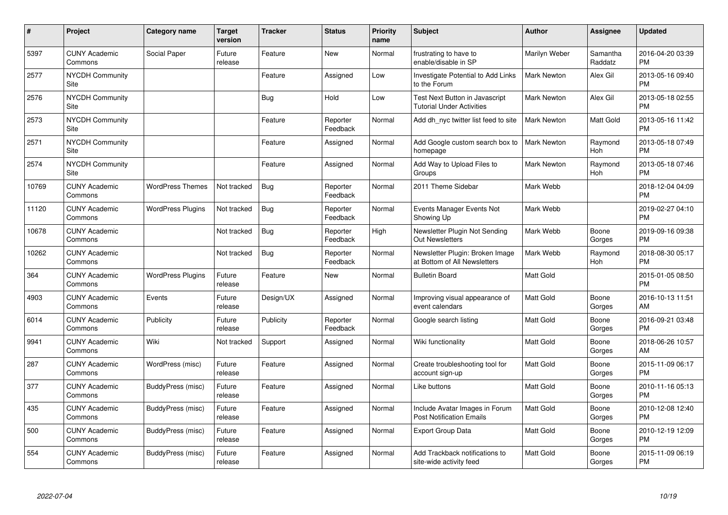| #     | Project                         | <b>Category name</b>     | <b>Target</b><br>version | <b>Tracker</b> | <b>Status</b>        | <b>Priority</b><br>name | <b>Subject</b>                                                     | <b>Author</b>      | <b>Assignee</b>     | <b>Updated</b>                |
|-------|---------------------------------|--------------------------|--------------------------|----------------|----------------------|-------------------------|--------------------------------------------------------------------|--------------------|---------------------|-------------------------------|
| 5397  | <b>CUNY Academic</b><br>Commons | Social Paper             | Future<br>release        | Feature        | <b>New</b>           | Normal                  | frustrating to have to<br>enable/disable in SP                     | Marilyn Weber      | Samantha<br>Raddatz | 2016-04-20 03:39<br><b>PM</b> |
| 2577  | <b>NYCDH Community</b><br>Site  |                          |                          | Feature        | Assigned             | Low                     | Investigate Potential to Add Links<br>to the Forum                 | <b>Mark Newton</b> | Alex Gil            | 2013-05-16 09:40<br><b>PM</b> |
| 2576  | <b>NYCDH Community</b><br>Site  |                          |                          | <b>Bug</b>     | Hold                 | Low                     | Test Next Button in Javascript<br><b>Tutorial Under Activities</b> | Mark Newton        | Alex Gil            | 2013-05-18 02:55<br><b>PM</b> |
| 2573  | <b>NYCDH Community</b><br>Site  |                          |                          | Feature        | Reporter<br>Feedback | Normal                  | Add dh_nyc twitter list feed to site                               | <b>Mark Newton</b> | Matt Gold           | 2013-05-16 11:42<br><b>PM</b> |
| 2571  | <b>NYCDH Community</b><br>Site  |                          |                          | Feature        | Assigned             | Normal                  | Add Google custom search box to<br>homepage                        | <b>Mark Newton</b> | Raymond<br>Hoh      | 2013-05-18 07:49<br><b>PM</b> |
| 2574  | NYCDH Community<br>Site         |                          |                          | Feature        | Assigned             | Normal                  | Add Way to Upload Files to<br>Groups                               | Mark Newton        | Raymond<br>Hoh      | 2013-05-18 07:46<br><b>PM</b> |
| 10769 | <b>CUNY Academic</b><br>Commons | <b>WordPress Themes</b>  | Not tracked              | <b>Bug</b>     | Reporter<br>Feedback | Normal                  | 2011 Theme Sidebar                                                 | Mark Webb          |                     | 2018-12-04 04:09<br><b>PM</b> |
| 11120 | <b>CUNY Academic</b><br>Commons | <b>WordPress Plugins</b> | Not tracked              | <b>Bug</b>     | Reporter<br>Feedback | Normal                  | Events Manager Events Not<br>Showing Up                            | Mark Webb          |                     | 2019-02-27 04:10<br><b>PM</b> |
| 10678 | <b>CUNY Academic</b><br>Commons |                          | Not tracked              | <b>Bug</b>     | Reporter<br>Feedback | High                    | Newsletter Plugin Not Sending<br><b>Out Newsletters</b>            | Mark Webb          | Boone<br>Gorges     | 2019-09-16 09:38<br><b>PM</b> |
| 10262 | <b>CUNY Academic</b><br>Commons |                          | Not tracked              | <b>Bug</b>     | Reporter<br>Feedback | Normal                  | Newsletter Plugin: Broken Image<br>at Bottom of All Newsletters    | Mark Webb          | Raymond<br>Hoh      | 2018-08-30 05:17<br><b>PM</b> |
| 364   | <b>CUNY Academic</b><br>Commons | <b>WordPress Plugins</b> | Future<br>release        | Feature        | New                  | Normal                  | <b>Bulletin Board</b>                                              | <b>Matt Gold</b>   |                     | 2015-01-05 08:50<br><b>PM</b> |
| 4903  | <b>CUNY Academic</b><br>Commons | Events                   | Future<br>release        | Design/UX      | Assigned             | Normal                  | Improving visual appearance of<br>event calendars                  | <b>Matt Gold</b>   | Boone<br>Gorges     | 2016-10-13 11:51<br>AM        |
| 6014  | <b>CUNY Academic</b><br>Commons | Publicity                | Future<br>release        | Publicity      | Reporter<br>Feedback | Normal                  | Google search listing                                              | <b>Matt Gold</b>   | Boone<br>Gorges     | 2016-09-21 03:48<br><b>PM</b> |
| 9941  | <b>CUNY Academic</b><br>Commons | Wiki                     | Not tracked              | Support        | Assigned             | Normal                  | Wiki functionality                                                 | <b>Matt Gold</b>   | Boone<br>Gorges     | 2018-06-26 10:57<br>AM        |
| 287   | <b>CUNY Academic</b><br>Commons | WordPress (misc)         | Future<br>release        | Feature        | Assigned             | Normal                  | Create troubleshooting tool for<br>account sign-up                 | Matt Gold          | Boone<br>Gorges     | 2015-11-09 06:17<br><b>PM</b> |
| 377   | <b>CUNY Academic</b><br>Commons | BuddyPress (misc)        | Future<br>release        | Feature        | Assigned             | Normal                  | Like buttons                                                       | Matt Gold          | Boone<br>Gorges     | 2010-11-16 05:13<br><b>PM</b> |
| 435   | <b>CUNY Academic</b><br>Commons | BuddyPress (misc)        | Future<br>release        | Feature        | Assigned             | Normal                  | Include Avatar Images in Forum<br><b>Post Notification Emails</b>  | <b>Matt Gold</b>   | Boone<br>Gorges     | 2010-12-08 12:40<br><b>PM</b> |
| 500   | <b>CUNY Academic</b><br>Commons | BuddyPress (misc)        | Future<br>release        | Feature        | Assigned             | Normal                  | <b>Export Group Data</b>                                           | Matt Gold          | Boone<br>Gorges     | 2010-12-19 12:09<br><b>PM</b> |
| 554   | <b>CUNY Academic</b><br>Commons | BuddyPress (misc)        | Future<br>release        | Feature        | Assigned             | Normal                  | Add Trackback notifications to<br>site-wide activity feed          | Matt Gold          | Boone<br>Gorges     | 2015-11-09 06:19<br><b>PM</b> |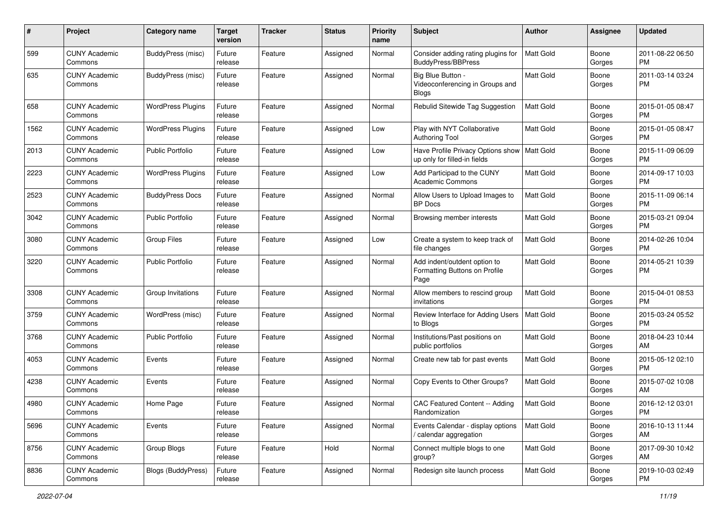| #    | Project                         | <b>Category name</b>     | <b>Target</b><br>version | <b>Tracker</b> | <b>Status</b> | Priority<br>name | <b>Subject</b>                                                        | <b>Author</b>    | <b>Assignee</b> | <b>Updated</b>                |
|------|---------------------------------|--------------------------|--------------------------|----------------|---------------|------------------|-----------------------------------------------------------------------|------------------|-----------------|-------------------------------|
| 599  | <b>CUNY Academic</b><br>Commons | BuddyPress (misc)        | Future<br>release        | Feature        | Assigned      | Normal           | Consider adding rating plugins for<br>BuddyPress/BBPress              | <b>Matt Gold</b> | Boone<br>Gorges | 2011-08-22 06:50<br><b>PM</b> |
| 635  | <b>CUNY Academic</b><br>Commons | BuddyPress (misc)        | Future<br>release        | Feature        | Assigned      | Normal           | Big Blue Button -<br>Videoconferencing in Groups and<br>Blogs         | <b>Matt Gold</b> | Boone<br>Gorges | 2011-03-14 03:24<br><b>PM</b> |
| 658  | <b>CUNY Academic</b><br>Commons | <b>WordPress Plugins</b> | Future<br>release        | Feature        | Assigned      | Normal           | Rebulid Sitewide Tag Suggestion                                       | <b>Matt Gold</b> | Boone<br>Gorges | 2015-01-05 08:47<br>PM.       |
| 1562 | <b>CUNY Academic</b><br>Commons | <b>WordPress Plugins</b> | Future<br>release        | Feature        | Assigned      | Low              | Play with NYT Collaborative<br>Authoring Tool                         | Matt Gold        | Boone<br>Gorges | 2015-01-05 08:47<br>PM.       |
| 2013 | <b>CUNY Academic</b><br>Commons | Public Portfolio         | Future<br>release        | Feature        | Assigned      | Low              | Have Profile Privacy Options show<br>up only for filled-in fields     | <b>Matt Gold</b> | Boone<br>Gorges | 2015-11-09 06:09<br>PM.       |
| 2223 | <b>CUNY Academic</b><br>Commons | <b>WordPress Plugins</b> | Future<br>release        | Feature        | Assigned      | Low              | Add Participad to the CUNY<br><b>Academic Commons</b>                 | <b>Matt Gold</b> | Boone<br>Gorges | 2014-09-17 10:03<br><b>PM</b> |
| 2523 | <b>CUNY Academic</b><br>Commons | <b>BuddyPress Docs</b>   | Future<br>release        | Feature        | Assigned      | Normal           | Allow Users to Upload Images to<br><b>BP</b> Docs                     | Matt Gold        | Boone<br>Gorges | 2015-11-09 06:14<br><b>PM</b> |
| 3042 | <b>CUNY Academic</b><br>Commons | <b>Public Portfolio</b>  | Future<br>release        | Feature        | Assigned      | Normal           | Browsing member interests                                             | Matt Gold        | Boone<br>Gorges | 2015-03-21 09:04<br><b>PM</b> |
| 3080 | <b>CUNY Academic</b><br>Commons | <b>Group Files</b>       | Future<br>release        | Feature        | Assigned      | Low              | Create a system to keep track of<br>file changes                      | <b>Matt Gold</b> | Boone<br>Gorges | 2014-02-26 10:04<br>PM.       |
| 3220 | <b>CUNY Academic</b><br>Commons | <b>Public Portfolio</b>  | Future<br>release        | Feature        | Assigned      | Normal           | Add indent/outdent option to<br>Formatting Buttons on Profile<br>Page | Matt Gold        | Boone<br>Gorges | 2014-05-21 10:39<br><b>PM</b> |
| 3308 | <b>CUNY Academic</b><br>Commons | Group Invitations        | Future<br>release        | Feature        | Assigned      | Normal           | Allow members to rescind group<br>invitations                         | Matt Gold        | Boone<br>Gorges | 2015-04-01 08:53<br><b>PM</b> |
| 3759 | <b>CUNY Academic</b><br>Commons | WordPress (misc)         | Future<br>release        | Feature        | Assigned      | Normal           | Review Interface for Adding Users<br>to Blogs                         | Matt Gold        | Boone<br>Gorges | 2015-03-24 05:52<br><b>PM</b> |
| 3768 | <b>CUNY Academic</b><br>Commons | Public Portfolio         | Future<br>release        | Feature        | Assigned      | Normal           | Institutions/Past positions on<br>public portfolios                   | Matt Gold        | Boone<br>Gorges | 2018-04-23 10:44<br>AM        |
| 4053 | <b>CUNY Academic</b><br>Commons | Events                   | Future<br>release        | Feature        | Assigned      | Normal           | Create new tab for past events                                        | <b>Matt Gold</b> | Boone<br>Gorges | 2015-05-12 02:10<br>PM.       |
| 4238 | <b>CUNY Academic</b><br>Commons | Events                   | Future<br>release        | Feature        | Assigned      | Normal           | Copy Events to Other Groups?                                          | <b>Matt Gold</b> | Boone<br>Gorges | 2015-07-02 10:08<br>AM.       |
| 4980 | <b>CUNY Academic</b><br>Commons | Home Page                | Future<br>release        | Feature        | Assigned      | Normal           | CAC Featured Content -- Adding<br>Randomization                       | Matt Gold        | Boone<br>Gorges | 2016-12-12 03:01<br><b>PM</b> |
| 5696 | <b>CUNY Academic</b><br>Commons | Events                   | Future<br>release        | Feature        | Assigned      | Normal           | Events Calendar - display options<br>/ calendar aggregation           | <b>Matt Gold</b> | Boone<br>Gorges | 2016-10-13 11:44<br>AM        |
| 8756 | <b>CUNY Academic</b><br>Commons | Group Blogs              | Future<br>release        | Feature        | Hold          | Normal           | Connect multiple blogs to one<br>group?                               | Matt Gold        | Boone<br>Gorges | 2017-09-30 10:42<br>AM        |
| 8836 | <b>CUNY Academic</b><br>Commons | Blogs (BuddyPress)       | Future<br>release        | Feature        | Assigned      | Normal           | Redesign site launch process                                          | Matt Gold        | Boone<br>Gorges | 2019-10-03 02:49<br><b>PM</b> |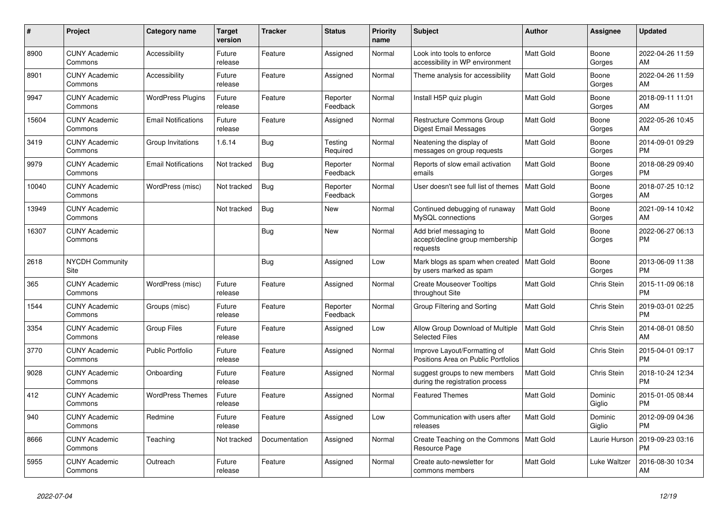| $\#$  | Project                         | <b>Category name</b>       | <b>Target</b><br>version | <b>Tracker</b> | <b>Status</b>        | <b>Priority</b><br>name | <b>Subject</b>                                                        | <b>Author</b>    | <b>Assignee</b>   | <b>Updated</b>                |
|-------|---------------------------------|----------------------------|--------------------------|----------------|----------------------|-------------------------|-----------------------------------------------------------------------|------------------|-------------------|-------------------------------|
| 8900  | <b>CUNY Academic</b><br>Commons | Accessibility              | Future<br>release        | Feature        | Assigned             | Normal                  | Look into tools to enforce<br>accessibility in WP environment         | Matt Gold        | Boone<br>Gorges   | 2022-04-26 11:59<br>AM        |
| 8901  | <b>CUNY Academic</b><br>Commons | Accessibility              | Future<br>release        | Feature        | Assigned             | Normal                  | Theme analysis for accessibility                                      | Matt Gold        | Boone<br>Gorges   | 2022-04-26 11:59<br>AM        |
| 9947  | <b>CUNY Academic</b><br>Commons | <b>WordPress Plugins</b>   | Future<br>release        | Feature        | Reporter<br>Feedback | Normal                  | Install H5P quiz plugin                                               | Matt Gold        | Boone<br>Gorges   | 2018-09-11 11:01<br>AM        |
| 15604 | <b>CUNY Academic</b><br>Commons | <b>Email Notifications</b> | Future<br>release        | Feature        | Assigned             | Normal                  | Restructure Commons Group<br>Digest Email Messages                    | Matt Gold        | Boone<br>Gorges   | 2022-05-26 10:45<br>AM        |
| 3419  | <b>CUNY Academic</b><br>Commons | Group Invitations          | 1.6.14                   | Bug            | Testing<br>Required  | Normal                  | Neatening the display of<br>messages on group requests                | Matt Gold        | Boone<br>Gorges   | 2014-09-01 09:29<br><b>PM</b> |
| 9979  | <b>CUNY Academic</b><br>Commons | <b>Email Notifications</b> | Not tracked              | Bug            | Reporter<br>Feedback | Normal                  | Reports of slow email activation<br>emails                            | Matt Gold        | Boone<br>Gorges   | 2018-08-29 09:40<br><b>PM</b> |
| 10040 | <b>CUNY Academic</b><br>Commons | WordPress (misc)           | Not tracked              | Bug            | Reporter<br>Feedback | Normal                  | User doesn't see full list of themes                                  | l Matt Gold      | Boone<br>Gorges   | 2018-07-25 10:12<br>AM        |
| 13949 | <b>CUNY Academic</b><br>Commons |                            | Not tracked              | Bug            | New                  | Normal                  | Continued debugging of runaway<br>MySQL connections                   | <b>Matt Gold</b> | Boone<br>Gorges   | 2021-09-14 10:42<br>AM        |
| 16307 | <b>CUNY Academic</b><br>Commons |                            |                          | <b>Bug</b>     | <b>New</b>           | Normal                  | Add brief messaging to<br>accept/decline group membership<br>requests | <b>Matt Gold</b> | Boone<br>Gorges   | 2022-06-27 06:13<br><b>PM</b> |
| 2618  | <b>NYCDH Community</b><br>Site  |                            |                          | <b>Bug</b>     | Assigned             | Low                     | Mark blogs as spam when created<br>by users marked as spam            | Matt Gold        | Boone<br>Gorges   | 2013-06-09 11:38<br><b>PM</b> |
| 365   | <b>CUNY Academic</b><br>Commons | WordPress (misc)           | Future<br>release        | Feature        | Assigned             | Normal                  | <b>Create Mouseover Tooltips</b><br>throughout Site                   | Matt Gold        | Chris Stein       | 2015-11-09 06:18<br><b>PM</b> |
| 1544  | <b>CUNY Academic</b><br>Commons | Groups (misc)              | Future<br>release        | Feature        | Reporter<br>Feedback | Normal                  | Group Filtering and Sorting                                           | <b>Matt Gold</b> | Chris Stein       | 2019-03-01 02:25<br><b>PM</b> |
| 3354  | <b>CUNY Academic</b><br>Commons | <b>Group Files</b>         | Future<br>release        | Feature        | Assigned             | Low                     | Allow Group Download of Multiple<br><b>Selected Files</b>             | <b>Matt Gold</b> | Chris Stein       | 2014-08-01 08:50<br>AM        |
| 3770  | <b>CUNY Academic</b><br>Commons | <b>Public Portfolio</b>    | Future<br>release        | Feature        | Assigned             | Normal                  | Improve Layout/Formatting of<br>Positions Area on Public Portfolios   | Matt Gold        | Chris Stein       | 2015-04-01 09:17<br><b>PM</b> |
| 9028  | <b>CUNY Academic</b><br>Commons | Onboarding                 | Future<br>release        | Feature        | Assigned             | Normal                  | suggest groups to new members<br>during the registration process      | <b>Matt Gold</b> | Chris Stein       | 2018-10-24 12:34<br><b>PM</b> |
| 412   | <b>CUNY Academic</b><br>Commons | <b>WordPress Themes</b>    | Future<br>release        | Feature        | Assigned             | Normal                  | <b>Featured Themes</b>                                                | <b>Matt Gold</b> | Dominic<br>Giglio | 2015-01-05 08:44<br><b>PM</b> |
| 940   | <b>CUNY Academic</b><br>Commons | Redmine                    | Future<br>release        | Feature        | Assigned             | Low                     | Communication with users after<br>releases                            | Matt Gold        | Dominic<br>Giglio | 2012-09-09 04:36<br><b>PM</b> |
| 8666  | <b>CUNY Academic</b><br>Commons | Teaching                   | Not tracked              | Documentation  | Assigned             | Normal                  | Create Teaching on the Commons<br>Resource Page                       | Matt Gold        | Laurie Hurson     | 2019-09-23 03:16<br><b>PM</b> |
| 5955  | <b>CUNY Academic</b><br>Commons | Outreach                   | Future<br>release        | Feature        | Assigned             | Normal                  | Create auto-newsletter for<br>commons members                         | <b>Matt Gold</b> | Luke Waltzer      | 2016-08-30 10:34<br>AM        |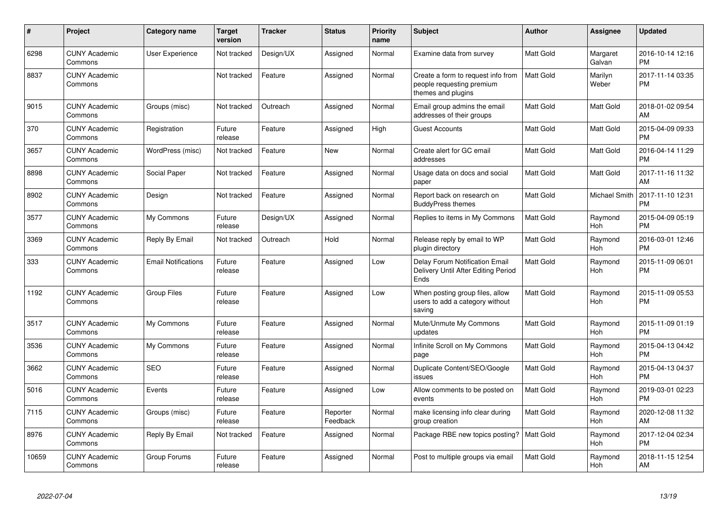| #     | Project                         | <b>Category name</b>       | <b>Target</b><br>version | <b>Tracker</b> | <b>Status</b>        | <b>Priority</b><br>name | <b>Subject</b>                                                                        | Author    | <b>Assignee</b>       | <b>Updated</b>                |
|-------|---------------------------------|----------------------------|--------------------------|----------------|----------------------|-------------------------|---------------------------------------------------------------------------------------|-----------|-----------------------|-------------------------------|
| 6298  | <b>CUNY Academic</b><br>Commons | User Experience            | Not tracked              | Design/UX      | Assigned             | Normal                  | Examine data from survey                                                              | Matt Gold | Margaret<br>Galvan    | 2016-10-14 12:16<br><b>PM</b> |
| 8837  | <b>CUNY Academic</b><br>Commons |                            | Not tracked              | Feature        | Assigned             | Normal                  | Create a form to request info from<br>people requesting premium<br>themes and plugins | Matt Gold | Marilyn<br>Weber      | 2017-11-14 03:35<br><b>PM</b> |
| 9015  | <b>CUNY Academic</b><br>Commons | Groups (misc)              | Not tracked              | Outreach       | Assigned             | Normal                  | Email group admins the email<br>addresses of their groups                             | Matt Gold | Matt Gold             | 2018-01-02 09:54<br>AM        |
| 370   | <b>CUNY Academic</b><br>Commons | Registration               | Future<br>release        | Feature        | Assigned             | High                    | <b>Guest Accounts</b>                                                                 | Matt Gold | Matt Gold             | 2015-04-09 09:33<br><b>PM</b> |
| 3657  | <b>CUNY Academic</b><br>Commons | WordPress (misc)           | Not tracked              | Feature        | <b>New</b>           | Normal                  | Create alert for GC email<br>addresses                                                | Matt Gold | Matt Gold             | 2016-04-14 11:29<br><b>PM</b> |
| 8898  | <b>CUNY Academic</b><br>Commons | Social Paper               | Not tracked              | Feature        | Assigned             | Normal                  | Usage data on docs and social<br>paper                                                | Matt Gold | Matt Gold             | 2017-11-16 11:32<br>AM        |
| 8902  | <b>CUNY Academic</b><br>Commons | Design                     | Not tracked              | Feature        | Assigned             | Normal                  | Report back on research on<br><b>BuddyPress themes</b>                                | Matt Gold | <b>Michael Smith</b>  | 2017-11-10 12:31<br><b>PM</b> |
| 3577  | <b>CUNY Academic</b><br>Commons | My Commons                 | Future<br>release        | Design/UX      | Assigned             | Normal                  | Replies to items in My Commons                                                        | Matt Gold | Raymond<br>Hoh        | 2015-04-09 05:19<br><b>PM</b> |
| 3369  | <b>CUNY Academic</b><br>Commons | Reply By Email             | Not tracked              | Outreach       | Hold                 | Normal                  | Release reply by email to WP<br>plugin directory                                      | Matt Gold | Raymond<br>Hoh        | 2016-03-01 12:46<br><b>PM</b> |
| 333   | <b>CUNY Academic</b><br>Commons | <b>Email Notifications</b> | Future<br>release        | Feature        | Assigned             | Low                     | Delay Forum Notification Email<br>Delivery Until After Editing Period<br>Ends         | Matt Gold | Raymond<br><b>Hoh</b> | 2015-11-09 06:01<br><b>PM</b> |
| 1192  | <b>CUNY Academic</b><br>Commons | <b>Group Files</b>         | Future<br>release        | Feature        | Assigned             | Low                     | When posting group files, allow<br>users to add a category without<br>saving          | Matt Gold | Raymond<br><b>Hoh</b> | 2015-11-09 05:53<br><b>PM</b> |
| 3517  | <b>CUNY Academic</b><br>Commons | My Commons                 | Future<br>release        | Feature        | Assigned             | Normal                  | Mute/Unmute My Commons<br>updates                                                     | Matt Gold | Raymond<br>Hoh        | 2015-11-09 01:19<br><b>PM</b> |
| 3536  | <b>CUNY Academic</b><br>Commons | My Commons                 | Future<br>release        | Feature        | Assigned             | Normal                  | Infinite Scroll on My Commons<br>page                                                 | Matt Gold | Raymond<br>Hoh        | 2015-04-13 04:42<br><b>PM</b> |
| 3662  | <b>CUNY Academic</b><br>Commons | <b>SEO</b>                 | Future<br>release        | Feature        | Assigned             | Normal                  | Duplicate Content/SEO/Google<br>issues                                                | Matt Gold | Raymond<br>Hoh        | 2015-04-13 04:37<br><b>PM</b> |
| 5016  | <b>CUNY Academic</b><br>Commons | Events                     | Future<br>release        | Feature        | Assigned             | Low                     | Allow comments to be posted on<br>events                                              | Matt Gold | Raymond<br>Hoh        | 2019-03-01 02:23<br><b>PM</b> |
| 7115  | <b>CUNY Academic</b><br>Commons | Groups (misc)              | Future<br>release        | Feature        | Reporter<br>Feedback | Normal                  | make licensing info clear during<br>group creation                                    | Matt Gold | Raymond<br><b>Hoh</b> | 2020-12-08 11:32<br>AM        |
| 8976  | <b>CUNY Academic</b><br>Commons | Reply By Email             | Not tracked              | Feature        | Assigned             | Normal                  | Package RBE new topics posting?                                                       | Matt Gold | Raymond<br>Hoh        | 2017-12-04 02:34<br><b>PM</b> |
| 10659 | <b>CUNY Academic</b><br>Commons | Group Forums               | Future<br>release        | Feature        | Assigned             | Normal                  | Post to multiple groups via email                                                     | Matt Gold | Raymond<br>Hoh        | 2018-11-15 12:54<br>AM        |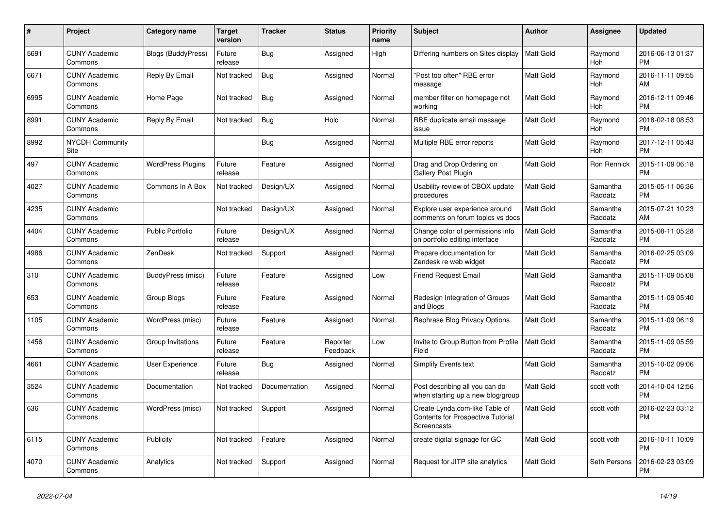| #    | <b>Project</b>                  | <b>Category name</b>      | <b>Target</b><br>version | <b>Tracker</b> | <b>Status</b>        | Priority<br>name | <b>Subject</b>                                                                     | <b>Author</b>    | Assignee            | <b>Updated</b>                |
|------|---------------------------------|---------------------------|--------------------------|----------------|----------------------|------------------|------------------------------------------------------------------------------------|------------------|---------------------|-------------------------------|
| 5691 | <b>CUNY Academic</b><br>Commons | <b>Blogs (BuddyPress)</b> | Future<br>release        | <b>Bug</b>     | Assigned             | High             | Differing numbers on Sites display                                                 | <b>Matt Gold</b> | Raymond<br>Hoh      | 2016-06-13 01:37<br><b>PM</b> |
| 6671 | <b>CUNY Academic</b><br>Commons | Reply By Email            | Not tracked              | <b>Bug</b>     | Assigned             | Normal           | "Post too often" RBE error<br>message                                              | <b>Matt Gold</b> | Raymond<br>Hoh      | 2016-11-11 09:55<br>AM        |
| 6995 | <b>CUNY Academic</b><br>Commons | Home Page                 | Not tracked              | Bug            | Assigned             | Normal           | member filter on homepage not<br>workina                                           | <b>Matt Gold</b> | Raymond<br>Hoh      | 2016-12-11 09:46<br><b>PM</b> |
| 8991 | <b>CUNY Academic</b><br>Commons | Reply By Email            | Not tracked              | <b>Bug</b>     | Hold                 | Normal           | RBE duplicate email message<br>issue                                               | Matt Gold        | Raymond<br>Hoh      | 2018-02-18 08:53<br><b>PM</b> |
| 8992 | <b>NYCDH Community</b><br>Site  |                           |                          | <b>Bug</b>     | Assigned             | Normal           | Multiple RBE error reports                                                         | Matt Gold        | Raymond<br>Hoh      | 2017-12-11 05:43<br><b>PM</b> |
| 497  | <b>CUNY Academic</b><br>Commons | <b>WordPress Plugins</b>  | Future<br>release        | Feature        | Assigned             | Normal           | Drag and Drop Ordering on<br>Gallery Post Plugin                                   | Matt Gold        | Ron Rennick         | 2015-11-09 06:18<br><b>PM</b> |
| 4027 | <b>CUNY Academic</b><br>Commons | Commons In A Box          | Not tracked              | Design/UX      | Assigned             | Normal           | Usability review of CBOX update<br>procedures                                      | <b>Matt Gold</b> | Samantha<br>Raddatz | 2015-05-11 06:36<br><b>PM</b> |
| 4235 | <b>CUNY Academic</b><br>Commons |                           | Not tracked              | Design/UX      | Assigned             | Normal           | Explore user experience around<br>comments on forum topics vs docs                 | <b>Matt Gold</b> | Samantha<br>Raddatz | 2015-07-21 10:23<br>AM        |
| 4404 | <b>CUNY Academic</b><br>Commons | <b>Public Portfolio</b>   | Future<br>release        | Design/UX      | Assigned             | Normal           | Change color of permissions info<br>on portfolio editing interface                 | Matt Gold        | Samantha<br>Raddatz | 2015-08-11 05:28<br><b>PM</b> |
| 4986 | <b>CUNY Academic</b><br>Commons | ZenDesk                   | Not tracked              | Support        | Assigned             | Normal           | Prepare documentation for<br>Zendesk re web widget                                 | <b>Matt Gold</b> | Samantha<br>Raddatz | 2016-02-25 03:09<br><b>PM</b> |
| 310  | <b>CUNY Academic</b><br>Commons | BuddyPress (misc)         | Future<br>release        | Feature        | Assigned             | Low              | <b>Friend Request Email</b>                                                        | Matt Gold        | Samantha<br>Raddatz | 2015-11-09 05:08<br><b>PM</b> |
| 653  | <b>CUNY Academic</b><br>Commons | <b>Group Blogs</b>        | Future<br>release        | Feature        | Assigned             | Normal           | Redesign Integration of Groups<br>and Blogs                                        | Matt Gold        | Samantha<br>Raddatz | 2015-11-09 05:40<br><b>PM</b> |
| 1105 | <b>CUNY Academic</b><br>Commons | WordPress (misc)          | Future<br>release        | Feature        | Assigned             | Normal           | Rephrase Blog Privacy Options                                                      | <b>Matt Gold</b> | Samantha<br>Raddatz | 2015-11-09 06:19<br><b>PM</b> |
| 1456 | <b>CUNY Academic</b><br>Commons | Group Invitations         | Future<br>release        | Feature        | Reporter<br>Feedback | Low              | Invite to Group Button from Profile<br>Field                                       | <b>Matt Gold</b> | Samantha<br>Raddatz | 2015-11-09 05:59<br><b>PM</b> |
| 4661 | <b>CUNY Academic</b><br>Commons | <b>User Experience</b>    | Future<br>release        | Bug            | Assigned             | Normal           | Simplify Events text                                                               | Matt Gold        | Samantha<br>Raddatz | 2015-10-02 09:06<br><b>PM</b> |
| 3524 | <b>CUNY Academic</b><br>Commons | Documentation             | Not tracked              | Documentation  | Assigned             | Normal           | Post describing all you can do<br>when starting up a new blog/group                | Matt Gold        | scott voth          | 2014-10-04 12:56<br><b>PM</b> |
| 636  | <b>CUNY Academic</b><br>Commons | WordPress (misc)          | Not tracked              | Support        | Assigned             | Normal           | Create Lynda.com-like Table of<br>Contents for Prospective Tutorial<br>Screencasts | <b>Matt Gold</b> | scott voth          | 2016-02-23 03:12<br><b>PM</b> |
| 6115 | <b>CUNY Academic</b><br>Commons | Publicity                 | Not tracked              | Feature        | Assigned             | Normal           | create digital signage for GC                                                      | Matt Gold        | scott voth          | 2016-10-11 10:09<br><b>PM</b> |
| 4070 | <b>CUNY Academic</b><br>Commons | Analytics                 | Not tracked              | Support        | Assigned             | Normal           | Request for JITP site analytics                                                    | <b>Matt Gold</b> | Seth Persons        | 2016-02-23 03:09<br><b>PM</b> |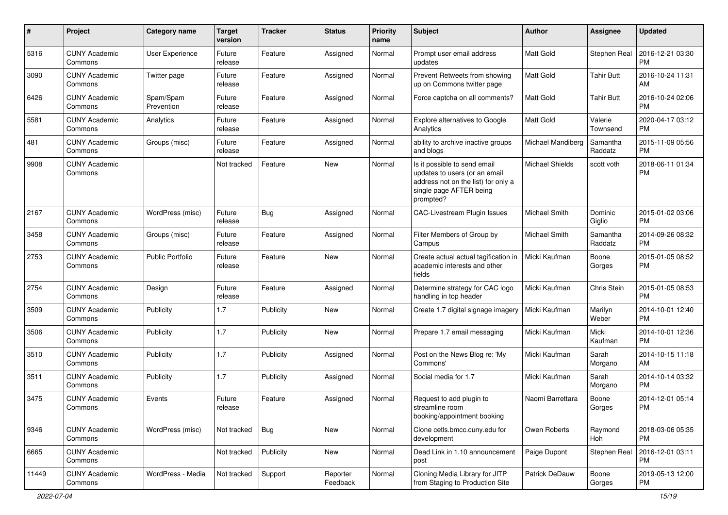| #     | Project                         | <b>Category name</b>    | <b>Target</b><br>version | <b>Tracker</b> | <b>Status</b>        | <b>Priority</b><br>name | <b>Subject</b>                                                                                                                               | Author            | <b>Assignee</b>     | <b>Updated</b>                |
|-------|---------------------------------|-------------------------|--------------------------|----------------|----------------------|-------------------------|----------------------------------------------------------------------------------------------------------------------------------------------|-------------------|---------------------|-------------------------------|
| 5316  | <b>CUNY Academic</b><br>Commons | User Experience         | Future<br>release        | Feature        | Assigned             | Normal                  | Prompt user email address<br>updates                                                                                                         | <b>Matt Gold</b>  | Stephen Real        | 2016-12-21 03:30<br><b>PM</b> |
| 3090  | <b>CUNY Academic</b><br>Commons | Twitter page            | Future<br>release        | Feature        | Assigned             | Normal                  | Prevent Retweets from showing<br>up on Commons twitter page                                                                                  | <b>Matt Gold</b>  | <b>Tahir Butt</b>   | 2016-10-24 11:31<br>AM        |
| 6426  | <b>CUNY Academic</b><br>Commons | Spam/Spam<br>Prevention | Future<br>release        | Feature        | Assigned             | Normal                  | Force captcha on all comments?                                                                                                               | <b>Matt Gold</b>  | Tahir Butt          | 2016-10-24 02:06<br><b>PM</b> |
| 5581  | <b>CUNY Academic</b><br>Commons | Analytics               | Future<br>release        | Feature        | Assigned             | Normal                  | Explore alternatives to Google<br>Analytics                                                                                                  | <b>Matt Gold</b>  | Valerie<br>Townsend | 2020-04-17 03:12<br><b>PM</b> |
| 481   | <b>CUNY Academic</b><br>Commons | Groups (misc)           | Future<br>release        | Feature        | Assigned             | Normal                  | ability to archive inactive groups<br>and blogs                                                                                              | Michael Mandiberg | Samantha<br>Raddatz | 2015-11-09 05:56<br><b>PM</b> |
| 9908  | <b>CUNY Academic</b><br>Commons |                         | Not tracked              | Feature        | New                  | Normal                  | Is it possible to send email<br>updates to users (or an email<br>address not on the list) for only a<br>single page AFTER being<br>prompted? | Michael Shields   | scott voth          | 2018-06-11 01:34<br><b>PM</b> |
| 2167  | <b>CUNY Academic</b><br>Commons | WordPress (misc)        | Future<br>release        | Bug            | Assigned             | Normal                  | CAC-Livestream Plugin Issues                                                                                                                 | Michael Smith     | Dominic<br>Giglio   | 2015-01-02 03:06<br><b>PM</b> |
| 3458  | <b>CUNY Academic</b><br>Commons | Groups (misc)           | Future<br>release        | Feature        | Assigned             | Normal                  | Filter Members of Group by<br>Campus                                                                                                         | Michael Smith     | Samantha<br>Raddatz | 2014-09-26 08:32<br><b>PM</b> |
| 2753  | <b>CUNY Academic</b><br>Commons | <b>Public Portfolio</b> | Future<br>release        | Feature        | New                  | Normal                  | Create actual actual tagification in<br>academic interests and other<br>fields                                                               | Micki Kaufman     | Boone<br>Gorges     | 2015-01-05 08:52<br><b>PM</b> |
| 2754  | <b>CUNY Academic</b><br>Commons | Design                  | Future<br>release        | Feature        | Assigned             | Normal                  | Determine strategy for CAC logo<br>handling in top header                                                                                    | Micki Kaufman     | Chris Stein         | 2015-01-05 08:53<br><b>PM</b> |
| 3509  | <b>CUNY Academic</b><br>Commons | Publicity               | 1.7                      | Publicity      | <b>New</b>           | Normal                  | Create 1.7 digital signage imagery                                                                                                           | Micki Kaufman     | Marilyn<br>Weber    | 2014-10-01 12:40<br><b>PM</b> |
| 3506  | <b>CUNY Academic</b><br>Commons | Publicity               | 1.7                      | Publicity      | <b>New</b>           | Normal                  | Prepare 1.7 email messaging                                                                                                                  | Micki Kaufman     | Micki<br>Kaufman    | 2014-10-01 12:36<br><b>PM</b> |
| 3510  | <b>CUNY Academic</b><br>Commons | Publicity               | 1.7                      | Publicity      | Assigned             | Normal                  | Post on the News Blog re: 'My<br>Commons'                                                                                                    | Micki Kaufman     | Sarah<br>Morgano    | 2014-10-15 11:18<br>AM        |
| 3511  | <b>CUNY Academic</b><br>Commons | Publicity               | 1.7                      | Publicity      | Assigned             | Normal                  | Social media for 1.7                                                                                                                         | Micki Kaufman     | Sarah<br>Morgano    | 2014-10-14 03:32<br><b>PM</b> |
| 3475  | <b>CUNY Academic</b><br>Commons | Events                  | Future<br>release        | Feature        | Assigned             | Normal                  | Request to add plugin to<br>streamline room<br>booking/appointment booking                                                                   | Naomi Barrettara  | Boone<br>Gorges     | 2014-12-01 05:14<br><b>PM</b> |
| 9346  | <b>CUNY Academic</b><br>Commons | WordPress (misc)        | Not tracked              | Bug            | <b>New</b>           | Normal                  | Clone cetls.bmcc.cuny.edu for<br>development                                                                                                 | Owen Roberts      | Raymond<br>Hoh      | 2018-03-06 05:35<br><b>PM</b> |
| 6665  | <b>CUNY Academic</b><br>Commons |                         | Not tracked              | Publicity      | New                  | Normal                  | Dead Link in 1.10 announcement<br>post                                                                                                       | Paige Dupont      | Stephen Real        | 2016-12-01 03:11<br><b>PM</b> |
| 11449 | <b>CUNY Academic</b><br>Commons | WordPress - Media       | Not tracked              | Support        | Reporter<br>Feedback | Normal                  | Cloning Media Library for JITP<br>from Staging to Production Site                                                                            | Patrick DeDauw    | Boone<br>Gorges     | 2019-05-13 12:00<br>PM        |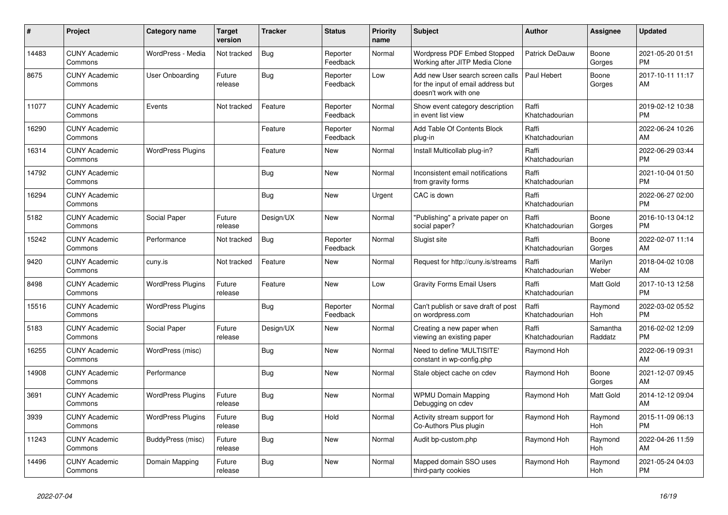| $\vert$ # | <b>Project</b>                  | Category name            | <b>Target</b><br>version | <b>Tracker</b> | <b>Status</b>        | Priority<br>name | <b>Subject</b>                                                                                  | <b>Author</b>           | Assignee            | <b>Updated</b>                |
|-----------|---------------------------------|--------------------------|--------------------------|----------------|----------------------|------------------|-------------------------------------------------------------------------------------------------|-------------------------|---------------------|-------------------------------|
| 14483     | <b>CUNY Academic</b><br>Commons | WordPress - Media        | Not tracked              | Bug            | Reporter<br>Feedback | Normal           | Wordpress PDF Embed Stopped<br>Working after JITP Media Clone                                   | Patrick DeDauw          | Boone<br>Gorges     | 2021-05-20 01:51<br><b>PM</b> |
| 8675      | <b>CUNY Academic</b><br>Commons | User Onboarding          | Future<br>release        | Bug            | Reporter<br>Feedback | Low              | Add new User search screen calls<br>for the input of email address but<br>doesn't work with one | Paul Hebert             | Boone<br>Gorges     | 2017-10-11 11:17<br>AM        |
| 11077     | <b>CUNY Academic</b><br>Commons | Events                   | Not tracked              | Feature        | Reporter<br>Feedback | Normal           | Show event category description<br>in event list view                                           | Raffi<br>Khatchadourian |                     | 2019-02-12 10:38<br><b>PM</b> |
| 16290     | <b>CUNY Academic</b><br>Commons |                          |                          | Feature        | Reporter<br>Feedback | Normal           | Add Table Of Contents Block<br>plug-in                                                          | Raffi<br>Khatchadourian |                     | 2022-06-24 10:26<br>AM        |
| 16314     | <b>CUNY Academic</b><br>Commons | <b>WordPress Plugins</b> |                          | Feature        | New                  | Normal           | Install Multicollab plug-in?                                                                    | Raffi<br>Khatchadourian |                     | 2022-06-29 03:44<br><b>PM</b> |
| 14792     | <b>CUNY Academic</b><br>Commons |                          |                          | Bug            | <b>New</b>           | Normal           | Inconsistent email notifications<br>from gravity forms                                          | Raffi<br>Khatchadourian |                     | 2021-10-04 01:50<br><b>PM</b> |
| 16294     | <b>CUNY Academic</b><br>Commons |                          |                          | Bug            | <b>New</b>           | Urgent           | CAC is down                                                                                     | Raffi<br>Khatchadourian |                     | 2022-06-27 02:00<br><b>PM</b> |
| 5182      | <b>CUNY Academic</b><br>Commons | Social Paper             | Future<br>release        | Design/UX      | New                  | Normal           | "Publishing" a private paper on<br>social paper?                                                | Raffi<br>Khatchadourian | Boone<br>Gorges     | 2016-10-13 04:12<br><b>PM</b> |
| 15242     | <b>CUNY Academic</b><br>Commons | Performance              | Not tracked              | <b>Bug</b>     | Reporter<br>Feedback | Normal           | Slugist site                                                                                    | Raffi<br>Khatchadourian | Boone<br>Gorges     | 2022-02-07 11:14<br>AM        |
| 9420      | <b>CUNY Academic</b><br>Commons | cuny.is                  | Not tracked              | Feature        | <b>New</b>           | Normal           | Request for http://cuny.is/streams                                                              | Raffi<br>Khatchadourian | Marilyn<br>Weber    | 2018-04-02 10:08<br>AM        |
| 8498      | <b>CUNY Academic</b><br>Commons | <b>WordPress Plugins</b> | Future<br>release        | Feature        | <b>New</b>           | Low              | <b>Gravity Forms Email Users</b>                                                                | Raffi<br>Khatchadourian | Matt Gold           | 2017-10-13 12:58<br><b>PM</b> |
| 15516     | <b>CUNY Academic</b><br>Commons | <b>WordPress Plugins</b> |                          | Bug            | Reporter<br>Feedback | Normal           | Can't publish or save draft of post<br>on wordpress.com                                         | Raffi<br>Khatchadourian | Raymond<br>Hoh      | 2022-03-02 05:52<br><b>PM</b> |
| 5183      | <b>CUNY Academic</b><br>Commons | Social Paper             | Future<br>release        | Design/UX      | <b>New</b>           | Normal           | Creating a new paper when<br>viewing an existing paper                                          | Raffi<br>Khatchadourian | Samantha<br>Raddatz | 2016-02-02 12:09<br><b>PM</b> |
| 16255     | <b>CUNY Academic</b><br>Commons | WordPress (misc)         |                          | Bug            | <b>New</b>           | Normal           | Need to define 'MULTISITE'<br>constant in wp-config.php                                         | Raymond Hoh             |                     | 2022-06-19 09:31<br>AM        |
| 14908     | <b>CUNY Academic</b><br>Commons | Performance              |                          | <b>Bug</b>     | <b>New</b>           | Normal           | Stale object cache on cdev                                                                      | Raymond Hoh             | Boone<br>Gorges     | 2021-12-07 09:45<br>AM        |
| 3691      | <b>CUNY Academic</b><br>Commons | <b>WordPress Plugins</b> | Future<br>release        | Bug            | <b>New</b>           | Normal           | <b>WPMU Domain Mapping</b><br>Debugging on cdev                                                 | Raymond Hoh             | Matt Gold           | 2014-12-12 09:04<br>AM        |
| 3939      | <b>CUNY Academic</b><br>Commons | <b>WordPress Plugins</b> | Future<br>release        | <b>Bug</b>     | Hold                 | Normal           | Activity stream support for<br>Co-Authors Plus plugin                                           | Raymond Hoh             | Raymond<br>Hoh      | 2015-11-09 06:13<br><b>PM</b> |
| 11243     | <b>CUNY Academic</b><br>Commons | BuddyPress (misc)        | Future<br>release        | Bug            | New                  | Normal           | Audit bp-custom.php                                                                             | Raymond Hoh             | Raymond<br>Hoh      | 2022-04-26 11:59<br>AM        |
| 14496     | <b>CUNY Academic</b><br>Commons | Domain Mapping           | Future<br>release        | <b>Bug</b>     | <b>New</b>           | Normal           | Mapped domain SSO uses<br>third-party cookies                                                   | Raymond Hoh             | Raymond<br>Hoh      | 2021-05-24 04:03<br><b>PM</b> |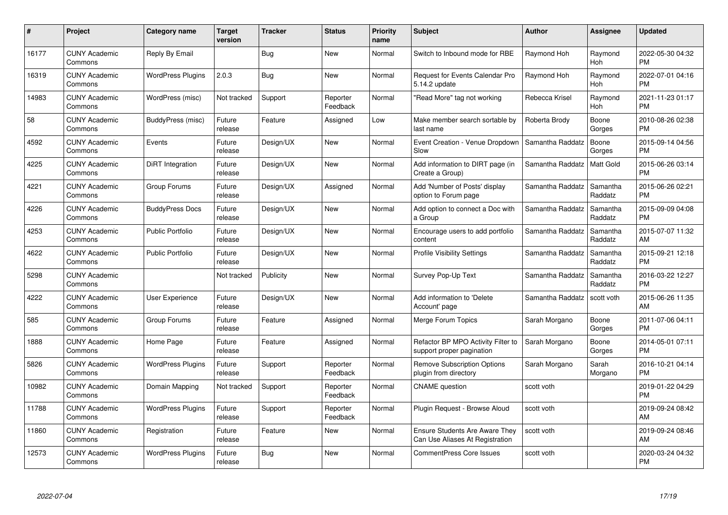| #     | Project                         | <b>Category name</b>     | <b>Target</b><br>version | <b>Tracker</b> | <b>Status</b>        | Priority<br>name | <b>Subject</b>                                                           | <b>Author</b>    | <b>Assignee</b>     | <b>Updated</b>                |
|-------|---------------------------------|--------------------------|--------------------------|----------------|----------------------|------------------|--------------------------------------------------------------------------|------------------|---------------------|-------------------------------|
| 16177 | <b>CUNY Academic</b><br>Commons | Reply By Email           |                          | Bug            | <b>New</b>           | Normal           | Switch to Inbound mode for RBE                                           | Raymond Hoh      | Raymond<br>Hoh      | 2022-05-30 04:32<br><b>PM</b> |
| 16319 | <b>CUNY Academic</b><br>Commons | <b>WordPress Plugins</b> | 2.0.3                    | Bug            | <b>New</b>           | Normal           | Request for Events Calendar Pro<br>5.14.2 update                         | Raymond Hoh      | Raymond<br>Hoh      | 2022-07-01 04:16<br><b>PM</b> |
| 14983 | <b>CUNY Academic</b><br>Commons | WordPress (misc)         | Not tracked              | Support        | Reporter<br>Feedback | Normal           | "Read More" tag not working                                              | Rebecca Krisel   | Raymond<br>Hoh      | 2021-11-23 01:17<br><b>PM</b> |
| 58    | <b>CUNY Academic</b><br>Commons | BuddyPress (misc)        | Future<br>release        | Feature        | Assigned             | Low              | Make member search sortable by<br>last name                              | Roberta Brody    | Boone<br>Gorges     | 2010-08-26 02:38<br><b>PM</b> |
| 4592  | <b>CUNY Academic</b><br>Commons | Events                   | Future<br>release        | Design/UX      | New                  | Normal           | Event Creation - Venue Dropdown<br>Slow                                  | Samantha Raddatz | Boone<br>Gorges     | 2015-09-14 04:56<br><b>PM</b> |
| 4225  | <b>CUNY Academic</b><br>Commons | DiRT Integration         | Future<br>release        | Design/UX      | <b>New</b>           | Normal           | Add information to DIRT page (in<br>Create a Group)                      | Samantha Raddatz | <b>Matt Gold</b>    | 2015-06-26 03:14<br><b>PM</b> |
| 4221  | <b>CUNY Academic</b><br>Commons | Group Forums             | Future<br>release        | Design/UX      | Assigned             | Normal           | Add 'Number of Posts' display<br>option to Forum page                    | Samantha Raddatz | Samantha<br>Raddatz | 2015-06-26 02:21<br><b>PM</b> |
| 4226  | <b>CUNY Academic</b><br>Commons | <b>BuddyPress Docs</b>   | Future<br>release        | Design/UX      | New                  | Normal           | Add option to connect a Doc with<br>a Group                              | Samantha Raddatz | Samantha<br>Raddatz | 2015-09-09 04:08<br><b>PM</b> |
| 4253  | <b>CUNY Academic</b><br>Commons | Public Portfolio         | Future<br>release        | Design/UX      | New                  | Normal           | Encourage users to add portfolio<br>content                              | Samantha Raddatz | Samantha<br>Raddatz | 2015-07-07 11:32<br>AM        |
| 4622  | <b>CUNY Academic</b><br>Commons | <b>Public Portfolio</b>  | Future<br>release        | Design/UX      | <b>New</b>           | Normal           | <b>Profile Visibility Settings</b>                                       | Samantha Raddatz | Samantha<br>Raddatz | 2015-09-21 12:18<br><b>PM</b> |
| 5298  | <b>CUNY Academic</b><br>Commons |                          | Not tracked              | Publicity      | New                  | Normal           | Survey Pop-Up Text                                                       | Samantha Raddatz | Samantha<br>Raddatz | 2016-03-22 12:27<br><b>PM</b> |
| 4222  | <b>CUNY Academic</b><br>Commons | <b>User Experience</b>   | Future<br>release        | Design/UX      | <b>New</b>           | Normal           | Add information to 'Delete<br>Account' page                              | Samantha Raddatz | scott voth          | 2015-06-26 11:35<br>AM        |
| 585   | <b>CUNY Academic</b><br>Commons | Group Forums             | Future<br>release        | Feature        | Assigned             | Normal           | Merge Forum Topics                                                       | Sarah Morgano    | Boone<br>Gorges     | 2011-07-06 04:11<br><b>PM</b> |
| 1888  | <b>CUNY Academic</b><br>Commons | Home Page                | Future<br>release        | Feature        | Assigned             | Normal           | Refactor BP MPO Activity Filter to<br>support proper pagination          | Sarah Morgano    | Boone<br>Gorges     | 2014-05-01 07:11<br><b>PM</b> |
| 5826  | <b>CUNY Academic</b><br>Commons | <b>WordPress Plugins</b> | Future<br>release        | Support        | Reporter<br>Feedback | Normal           | <b>Remove Subscription Options</b><br>plugin from directory              | Sarah Morgano    | Sarah<br>Morgano    | 2016-10-21 04:14<br><b>PM</b> |
| 10982 | <b>CUNY Academic</b><br>Commons | Domain Mapping           | Not tracked              | Support        | Reporter<br>Feedback | Normal           | <b>CNAME</b> question                                                    | scott voth       |                     | 2019-01-22 04:29<br><b>PM</b> |
| 11788 | <b>CUNY Academic</b><br>Commons | <b>WordPress Plugins</b> | Future<br>release        | Support        | Reporter<br>Feedback | Normal           | Plugin Request - Browse Aloud                                            | scott voth       |                     | 2019-09-24 08:42<br>AM        |
| 11860 | <b>CUNY Academic</b><br>Commons | Registration             | Future<br>release        | Feature        | New                  | Normal           | <b>Ensure Students Are Aware They</b><br>Can Use Aliases At Registration | scott voth       |                     | 2019-09-24 08:46<br>AM        |
| 12573 | CUNY Academic<br>Commons        | <b>WordPress Plugins</b> | Future<br>release        | Bug            | <b>New</b>           | Normal           | <b>CommentPress Core Issues</b>                                          | scott voth       |                     | 2020-03-24 04:32<br><b>PM</b> |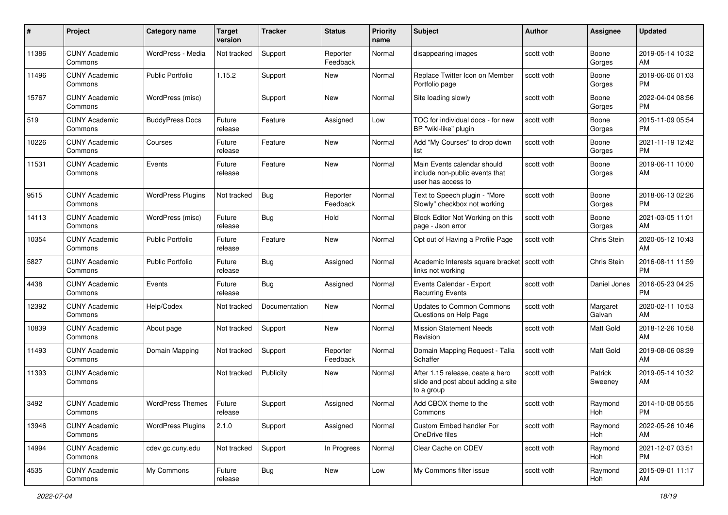| #     | Project                         | <b>Category name</b>     | <b>Target</b><br>version | <b>Tracker</b> | <b>Status</b>        | Priority<br>name | <b>Subject</b>                                                                       | <b>Author</b> | <b>Assignee</b>    | <b>Updated</b>                |
|-------|---------------------------------|--------------------------|--------------------------|----------------|----------------------|------------------|--------------------------------------------------------------------------------------|---------------|--------------------|-------------------------------|
| 11386 | <b>CUNY Academic</b><br>Commons | WordPress - Media        | Not tracked              | Support        | Reporter<br>Feedback | Normal           | disappearing images                                                                  | scott voth    | Boone<br>Gorges    | 2019-05-14 10:32<br>AM.       |
| 11496 | <b>CUNY Academic</b><br>Commons | <b>Public Portfolio</b>  | 1.15.2                   | Support        | New                  | Normal           | Replace Twitter Icon on Member<br>Portfolio page                                     | scott voth    | Boone<br>Gorges    | 2019-06-06 01:03<br><b>PM</b> |
| 15767 | <b>CUNY Academic</b><br>Commons | WordPress (misc)         |                          | Support        | New                  | Normal           | Site loading slowly                                                                  | scott voth    | Boone<br>Gorges    | 2022-04-04 08:56<br><b>PM</b> |
| 519   | <b>CUNY Academic</b><br>Commons | <b>BuddyPress Docs</b>   | Future<br>release        | Feature        | Assigned             | Low              | TOC for individual docs - for new<br>BP "wiki-like" plugin                           | scott voth    | Boone<br>Gorges    | 2015-11-09 05:54<br><b>PM</b> |
| 10226 | <b>CUNY Academic</b><br>Commons | Courses                  | Future<br>release        | Feature        | New                  | Normal           | Add "My Courses" to drop down<br>list                                                | scott voth    | Boone<br>Gorges    | 2021-11-19 12:42<br><b>PM</b> |
| 11531 | <b>CUNY Academic</b><br>Commons | Events                   | Future<br>release        | Feature        | New                  | Normal           | Main Events calendar should<br>include non-public events that<br>user has access to  | scott voth    | Boone<br>Gorges    | 2019-06-11 10:00<br>AM        |
| 9515  | <b>CUNY Academic</b><br>Commons | <b>WordPress Plugins</b> | Not tracked              | Bug            | Reporter<br>Feedback | Normal           | Text to Speech plugin - "More<br>Slowly" checkbox not working                        | scott voth    | Boone<br>Gorges    | 2018-06-13 02:26<br><b>PM</b> |
| 14113 | <b>CUNY Academic</b><br>Commons | WordPress (misc)         | Future<br>release        | Bug            | Hold                 | Normal           | Block Editor Not Working on this<br>page - Json error                                | scott voth    | Boone<br>Gorges    | 2021-03-05 11:01<br>AM.       |
| 10354 | <b>CUNY Academic</b><br>Commons | <b>Public Portfolio</b>  | Future<br>release        | Feature        | New                  | Normal           | Opt out of Having a Profile Page                                                     | scott voth    | Chris Stein        | 2020-05-12 10:43<br>AM.       |
| 5827  | <b>CUNY Academic</b><br>Commons | <b>Public Portfolio</b>  | Future<br>release        | Bug            | Assigned             | Normal           | Academic Interests square bracket<br>links not working                               | scott voth    | Chris Stein        | 2016-08-11 11:59<br><b>PM</b> |
| 4438  | <b>CUNY Academic</b><br>Commons | Events                   | Future<br>release        | Bug            | Assigned             | Normal           | Events Calendar - Export<br><b>Recurring Events</b>                                  | scott voth    | Daniel Jones       | 2016-05-23 04:25<br><b>PM</b> |
| 12392 | <b>CUNY Academic</b><br>Commons | Help/Codex               | Not tracked              | Documentation  | New                  | Normal           | Updates to Common Commons<br>Questions on Help Page                                  | scott voth    | Margaret<br>Galvan | 2020-02-11 10:53<br>AM        |
| 10839 | <b>CUNY Academic</b><br>Commons | About page               | Not tracked              | Support        | <b>New</b>           | Normal           | <b>Mission Statement Needs</b><br>Revision                                           | scott voth    | Matt Gold          | 2018-12-26 10:58<br>AM        |
| 11493 | <b>CUNY Academic</b><br>Commons | Domain Mapping           | Not tracked              | Support        | Reporter<br>Feedback | Normal           | Domain Mapping Request - Talia<br>Schaffer                                           | scott voth    | Matt Gold          | 2019-08-06 08:39<br>AM.       |
| 11393 | <b>CUNY Academic</b><br>Commons |                          | Not tracked              | Publicity      | New                  | Normal           | After 1.15 release, ceate a hero<br>slide and post about adding a site<br>to a group | scott voth    | Patrick<br>Sweeney | 2019-05-14 10:32<br>AM        |
| 3492  | <b>CUNY Academic</b><br>Commons | <b>WordPress Themes</b>  | Future<br>release        | Support        | Assigned             | Normal           | Add CBOX theme to the<br>Commons                                                     | scott voth    | Raymond<br>Hoh     | 2014-10-08 05:55<br><b>PM</b> |
| 13946 | <b>CUNY Academic</b><br>Commons | <b>WordPress Plugins</b> | 2.1.0                    | Support        | Assigned             | Normal           | Custom Embed handler For<br>OneDrive files                                           | scott voth    | Raymond<br>Hoh     | 2022-05-26 10:46<br>AM        |
| 14994 | <b>CUNY Academic</b><br>Commons | cdev.gc.cuny.edu         | Not tracked              | Support        | In Progress          | Normal           | Clear Cache on CDEV                                                                  | scott voth    | Raymond<br>Hoh     | 2021-12-07 03:51<br><b>PM</b> |
| 4535  | <b>CUNY Academic</b><br>Commons | My Commons               | Future<br>release        | <b>Bug</b>     | New                  | Low              | My Commons filter issue                                                              | scott voth    | Raymond<br>Hoh     | 2015-09-01 11:17<br>AM        |